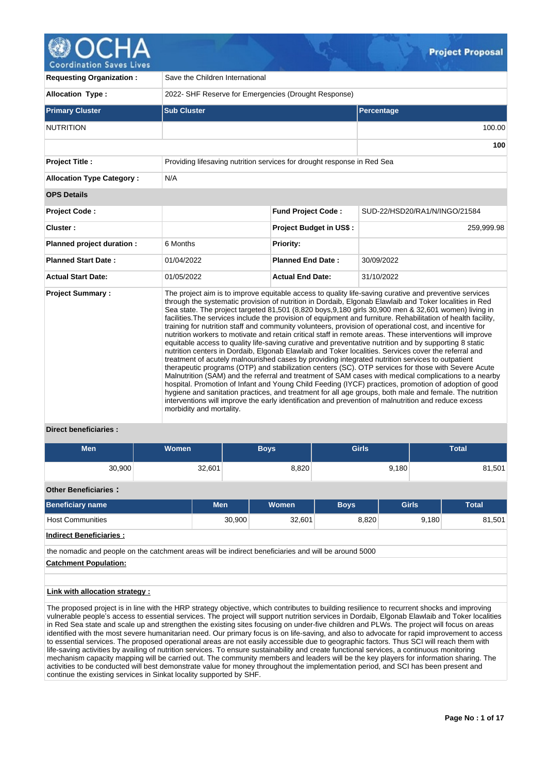ordination Sa

| <b>Requesting Organization:</b>                         | Save the Children International                                         |                                |                                                                                                                                                                                                                                                                                                                                                                                                                                                                                                                                                                                                                                                                                                                                                                                                                                                                                                                                                                                                                                                                                                                                                                                                                                                                                                                                                                                                                                                                                                                                     |  |  |  |  |  |
|---------------------------------------------------------|-------------------------------------------------------------------------|--------------------------------|-------------------------------------------------------------------------------------------------------------------------------------------------------------------------------------------------------------------------------------------------------------------------------------------------------------------------------------------------------------------------------------------------------------------------------------------------------------------------------------------------------------------------------------------------------------------------------------------------------------------------------------------------------------------------------------------------------------------------------------------------------------------------------------------------------------------------------------------------------------------------------------------------------------------------------------------------------------------------------------------------------------------------------------------------------------------------------------------------------------------------------------------------------------------------------------------------------------------------------------------------------------------------------------------------------------------------------------------------------------------------------------------------------------------------------------------------------------------------------------------------------------------------------------|--|--|--|--|--|
| <b>Allocation Type:</b>                                 | 2022- SHF Reserve for Emergencies (Drought Response)                    |                                |                                                                                                                                                                                                                                                                                                                                                                                                                                                                                                                                                                                                                                                                                                                                                                                                                                                                                                                                                                                                                                                                                                                                                                                                                                                                                                                                                                                                                                                                                                                                     |  |  |  |  |  |
| <b>Primary Cluster</b>                                  | <b>Sub Cluster</b>                                                      |                                | Percentage                                                                                                                                                                                                                                                                                                                                                                                                                                                                                                                                                                                                                                                                                                                                                                                                                                                                                                                                                                                                                                                                                                                                                                                                                                                                                                                                                                                                                                                                                                                          |  |  |  |  |  |
| <b>NUTRITION</b>                                        |                                                                         |                                |                                                                                                                                                                                                                                                                                                                                                                                                                                                                                                                                                                                                                                                                                                                                                                                                                                                                                                                                                                                                                                                                                                                                                                                                                                                                                                                                                                                                                                                                                                                                     |  |  |  |  |  |
|                                                         |                                                                         |                                | 100                                                                                                                                                                                                                                                                                                                                                                                                                                                                                                                                                                                                                                                                                                                                                                                                                                                                                                                                                                                                                                                                                                                                                                                                                                                                                                                                                                                                                                                                                                                                 |  |  |  |  |  |
| <b>Project Title:</b>                                   | Providing lifesaving nutrition services for drought response in Red Sea |                                |                                                                                                                                                                                                                                                                                                                                                                                                                                                                                                                                                                                                                                                                                                                                                                                                                                                                                                                                                                                                                                                                                                                                                                                                                                                                                                                                                                                                                                                                                                                                     |  |  |  |  |  |
| <b>Allocation Type Category:</b>                        | N/A                                                                     |                                |                                                                                                                                                                                                                                                                                                                                                                                                                                                                                                                                                                                                                                                                                                                                                                                                                                                                                                                                                                                                                                                                                                                                                                                                                                                                                                                                                                                                                                                                                                                                     |  |  |  |  |  |
| <b>OPS Details</b>                                      |                                                                         |                                |                                                                                                                                                                                                                                                                                                                                                                                                                                                                                                                                                                                                                                                                                                                                                                                                                                                                                                                                                                                                                                                                                                                                                                                                                                                                                                                                                                                                                                                                                                                                     |  |  |  |  |  |
| <b>Project Code:</b>                                    |                                                                         | <b>Fund Project Code:</b>      | SUD-22/HSD20/RA1/N/INGO/21584                                                                                                                                                                                                                                                                                                                                                                                                                                                                                                                                                                                                                                                                                                                                                                                                                                                                                                                                                                                                                                                                                                                                                                                                                                                                                                                                                                                                                                                                                                       |  |  |  |  |  |
| Cluster:                                                |                                                                         | <b>Project Budget in US\$:</b> | 259,999.98                                                                                                                                                                                                                                                                                                                                                                                                                                                                                                                                                                                                                                                                                                                                                                                                                                                                                                                                                                                                                                                                                                                                                                                                                                                                                                                                                                                                                                                                                                                          |  |  |  |  |  |
| Planned project duration :                              | 6 Months                                                                | Priority:                      |                                                                                                                                                                                                                                                                                                                                                                                                                                                                                                                                                                                                                                                                                                                                                                                                                                                                                                                                                                                                                                                                                                                                                                                                                                                                                                                                                                                                                                                                                                                                     |  |  |  |  |  |
| <b>Planned Start Date:</b>                              | 01/04/2022                                                              | <b>Planned End Date:</b>       | 30/09/2022                                                                                                                                                                                                                                                                                                                                                                                                                                                                                                                                                                                                                                                                                                                                                                                                                                                                                                                                                                                                                                                                                                                                                                                                                                                                                                                                                                                                                                                                                                                          |  |  |  |  |  |
| <b>Actual Start Date:</b>                               | 01/05/2022                                                              | <b>Actual End Date:</b>        | 31/10/2022                                                                                                                                                                                                                                                                                                                                                                                                                                                                                                                                                                                                                                                                                                                                                                                                                                                                                                                                                                                                                                                                                                                                                                                                                                                                                                                                                                                                                                                                                                                          |  |  |  |  |  |
| <b>Project Summary:</b><br><b>Direct beneficiaries:</b> | morbidity and mortality.                                                |                                | The project aim is to improve equitable access to quality life-saving curative and preventive services<br>through the systematic provision of nutrition in Dordaib, Elgonab Elawlaib and Toker localities in Red<br>Sea state. The project targeted 81,501 (8,820 boys, 9,180 girls 30,900 men & 32,601 women) living in<br>facilities. The services include the provision of equipment and furniture. Rehabilitation of health facility,<br>training for nutrition staff and community volunteers, provision of operational cost, and incentive for<br>nutrition workers to motivate and retain critical staff in remote areas. These interventions will improve<br>equitable access to quality life-saving curative and preventative nutrition and by supporting 8 static<br>nutrition centers in Dordaib, Elgonab Elawlaib and Toker localities. Services cover the referral and<br>treatment of acutely malnourished cases by providing integrated nutrition services to outpatient<br>therapeutic programs (OTP) and stabilization centers (SC). OTP services for those with Severe Acute<br>Malnutrition (SAM) and the referral and treatment of SAM cases with medical complications to a nearby<br>hospital. Promotion of Infant and Young Child Feeding (IYCF) practices, promotion of adoption of good<br>hygiene and sanitation practices, and treatment for all age groups, both male and female. The nutrition<br>interventions will improve the early identification and prevention of malnutrition and reduce excess |  |  |  |  |  |

## **Direct beneficiaries :**

| <b>Men</b>                                                                                           | Women |            | <b>Boys</b> | <b>Girls</b> |              | <b>Total</b> |
|------------------------------------------------------------------------------------------------------|-------|------------|-------------|--------------|--------------|--------------|
| 30,900                                                                                               |       | 32,601     | 8,820       |              | 9,180        | 81,501       |
| <b>Other Beneficiaries:</b>                                                                          |       |            |             |              |              |              |
| <b>Beneficiary name</b>                                                                              |       | <b>Men</b> | Women       | <b>Boys</b>  | <b>Girls</b> | <b>Total</b> |
| <b>Host Communities</b>                                                                              |       | 30,900     | 32,601      | 8,820        | 9,180        | 81,501       |
| Indirect Beneficiaries :                                                                             |       |            |             |              |              |              |
| the nomadic and people on the catchment areas will be indirect beneficiaries and will be around 5000 |       |            |             |              |              |              |
| <b>Catchment Population:</b>                                                                         |       |            |             |              |              |              |
|                                                                                                      |       |            |             |              |              |              |
| Link with allocation strategy :                                                                      |       |            |             |              |              |              |

The proposed project is in line with the HRP strategy objective, which contributes to building resilience to recurrent shocks and improving vulnerable people's access to essential services. The project will support nutrition services in Dordaib, Elgonab Elawlaib and Toker localities in Red Sea state and scale up and strengthen the existing sites focusing on under-five children and PLWs. The project will focus on areas identified with the most severe humanitarian need. Our primary focus is on life-saving, and also to advocate for rapid improvement to access to essential services. The proposed operational areas are not easily accessible due to geographic factors. Thus SCI will reach them with life-saving activities by availing of nutrition services. To ensure sustainability and create functional services, a continuous monitoring mechanism capacity mapping will be carried out. The community members and leaders will be the key players for information sharing. The activities to be conducted will best demonstrate value for money throughout the implementation period, and SCI has been present and continue the existing services in Sinkat locality supported by SHF.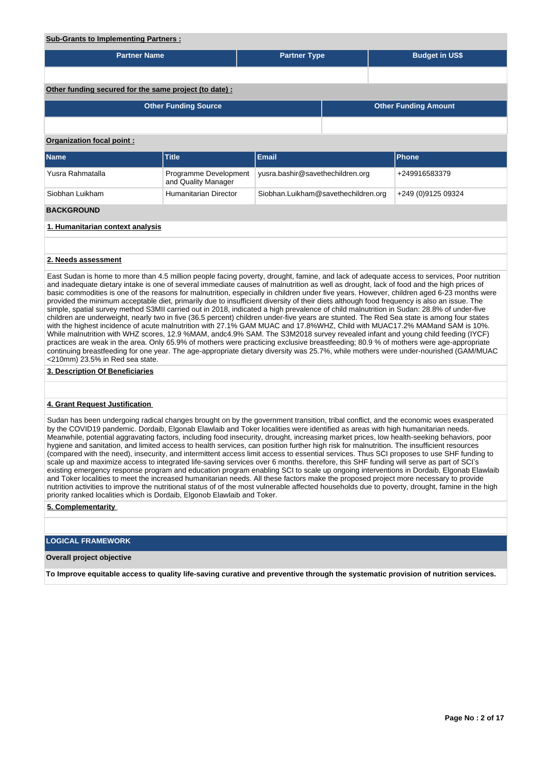| <b>Sub-Grants to Implementing Partners:</b>                                                                                                                                                                                                                                                                                                                                                                                                                                                                                                                                                                                                                                                                                     |                                              |                                     |  |  |                       |  |  |  |  |  |
|---------------------------------------------------------------------------------------------------------------------------------------------------------------------------------------------------------------------------------------------------------------------------------------------------------------------------------------------------------------------------------------------------------------------------------------------------------------------------------------------------------------------------------------------------------------------------------------------------------------------------------------------------------------------------------------------------------------------------------|----------------------------------------------|-------------------------------------|--|--|-----------------------|--|--|--|--|--|
| <b>Partner Name</b>                                                                                                                                                                                                                                                                                                                                                                                                                                                                                                                                                                                                                                                                                                             |                                              | <b>Partner Type</b>                 |  |  | <b>Budget in US\$</b> |  |  |  |  |  |
|                                                                                                                                                                                                                                                                                                                                                                                                                                                                                                                                                                                                                                                                                                                                 |                                              |                                     |  |  |                       |  |  |  |  |  |
| Other funding secured for the same project (to date) :                                                                                                                                                                                                                                                                                                                                                                                                                                                                                                                                                                                                                                                                          |                                              |                                     |  |  |                       |  |  |  |  |  |
| <b>Other Funding Source</b><br><b>Other Funding Amount</b>                                                                                                                                                                                                                                                                                                                                                                                                                                                                                                                                                                                                                                                                      |                                              |                                     |  |  |                       |  |  |  |  |  |
|                                                                                                                                                                                                                                                                                                                                                                                                                                                                                                                                                                                                                                                                                                                                 |                                              |                                     |  |  |                       |  |  |  |  |  |
| Organization focal point:                                                                                                                                                                                                                                                                                                                                                                                                                                                                                                                                                                                                                                                                                                       |                                              |                                     |  |  |                       |  |  |  |  |  |
| <b>Name</b>                                                                                                                                                                                                                                                                                                                                                                                                                                                                                                                                                                                                                                                                                                                     | <b>Title</b>                                 | Email                               |  |  | <b>Phone</b>          |  |  |  |  |  |
| Yusra Rahmatalla                                                                                                                                                                                                                                                                                                                                                                                                                                                                                                                                                                                                                                                                                                                | Programme Development<br>and Quality Manager | yusra.bashir@savethechildren.org    |  |  | +249916583379         |  |  |  |  |  |
| Siobhan Luikham                                                                                                                                                                                                                                                                                                                                                                                                                                                                                                                                                                                                                                                                                                                 | Humanitarian Director                        | Siobhan.Luikham@savethechildren.org |  |  | +249 (0)9125 09324    |  |  |  |  |  |
| <b>BACKGROUND</b>                                                                                                                                                                                                                                                                                                                                                                                                                                                                                                                                                                                                                                                                                                               |                                              |                                     |  |  |                       |  |  |  |  |  |
| 1. Humanitarian context analysis                                                                                                                                                                                                                                                                                                                                                                                                                                                                                                                                                                                                                                                                                                |                                              |                                     |  |  |                       |  |  |  |  |  |
|                                                                                                                                                                                                                                                                                                                                                                                                                                                                                                                                                                                                                                                                                                                                 |                                              |                                     |  |  |                       |  |  |  |  |  |
| 2. Needs assessment                                                                                                                                                                                                                                                                                                                                                                                                                                                                                                                                                                                                                                                                                                             |                                              |                                     |  |  |                       |  |  |  |  |  |
| East Sudan is home to more than 4.5 million people facing poverty, drought, famine, and lack of adequate access to services, Poor nutrition<br>and inadequate dietary intake is one of several immediate causes of malnutrition as well as drought, lack of food and the high prices of<br>basic commodities is one of the reasons for malnutrition, especially in children under five years. However, children aged 6-23 months were<br>provided the minimum acceptable diet, primarily due to insufficient diversity of their diets although food frequency is also an issue. The<br>simple, spatial survey method S3MII carried out in 2018, indicated a high prevalence of child malnutrition in Sudan: 28.8% of under-five |                                              |                                     |  |  |                       |  |  |  |  |  |

children are underweight, nearly two in five (36.5 percent) children under-five years are stunted. The Red Sea state is among four states with the highest incidence of acute malnutrition with 27.1% GAM MUAC and 17.8%WHZ, Child with MUAC17.2% MAMand SAM is 10%. While malnutrition with WHZ scores, 12.9 %MAM, andc4.9% SAM. The S3M2018 survey revealed infant and young child feeding (IYCF) practices are weak in the area. Only 65.9% of mothers were practicing exclusive breastfeeding; 80.9 % of mothers were age-appropriate continuing breastfeeding for one year. The age-appropriate dietary diversity was 25.7%, while mothers were under-nourished (GAM/MUAC <210mm) 23.5% in Red sea state.

## **3. Description Of Beneficiaries**

## **4. Grant Request Justification**

Sudan has been undergoing radical changes brought on by the government transition, tribal conflict, and the economic woes exasperated by the COVID19 pandemic. Dordaib, Elgonab Elawlaib and Toker localities were identified as areas with high humanitarian needs. Meanwhile, potential aggravating factors, including food insecurity, drought, increasing market prices, low health-seeking behaviors, poor hygiene and sanitation, and limited access to health services, can position further high risk for malnutrition. The insufficient resources (compared with the need), insecurity, and intermittent access limit access to essential services. Thus SCI proposes to use SHF funding to scale up and maximize access to integrated life-saving services over 6 months. therefore, this SHF funding will serve as part of SCI's existing emergency response program and education program enabling SCI to scale up ongoing interventions in Dordaib, Elgonab Elawlaib and Toker localities to meet the increased humanitarian needs. All these factors make the proposed project more necessary to provide nutrition activities to improve the nutritional status of of the most vulnerable affected households due to poverty, drought, famine in the high priority ranked localities which is Dordaib, Elgonob Elawlaib and Toker.

**5. Complementarity** 

## **LOGICAL FRAMEWORK**

## **Overall project objective**

**To Improve equitable access to quality life-saving curative and preventive through the systematic provision of nutrition services.**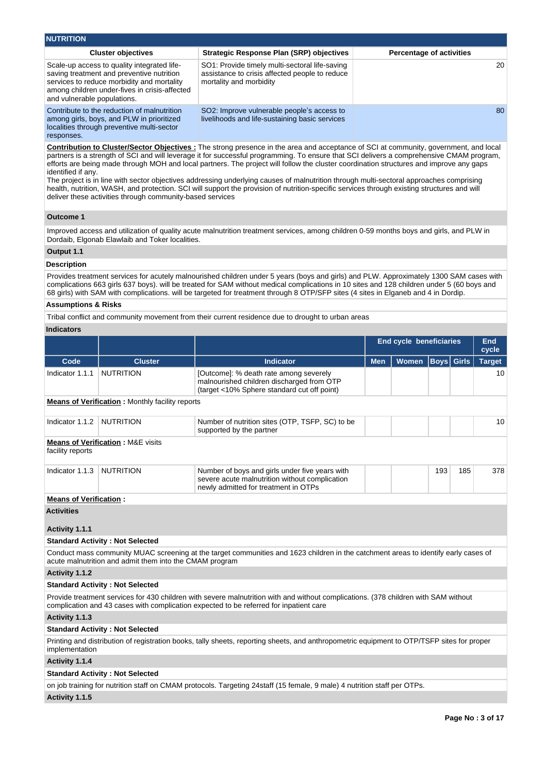| <b>NUTRITION</b>                                                                                                                                                                                                       |                                                                                                                             |                                 |  |  |  |  |  |  |  |
|------------------------------------------------------------------------------------------------------------------------------------------------------------------------------------------------------------------------|-----------------------------------------------------------------------------------------------------------------------------|---------------------------------|--|--|--|--|--|--|--|
| <b>Cluster objectives</b>                                                                                                                                                                                              | Strategic Response Plan (SRP) objectives                                                                                    | <b>Percentage of activities</b> |  |  |  |  |  |  |  |
| Scale-up access to quality integrated life-<br>saving treatment and preventive nutrition<br>services to reduce morbidity and mortality<br>among children under-fives in crisis-affected<br>and vulnerable populations. | SO1: Provide timely multi-sectoral life-saving<br>assistance to crisis affected people to reduce<br>mortality and morbidity | 20                              |  |  |  |  |  |  |  |
| Contribute to the reduction of malnutrition<br>among girls, boys, and PLW in prioritized<br>localities through preventive multi-sector<br>responses.                                                                   | SO2: Improve vulnerable people's access to<br>livelihoods and life-sustaining basic services                                | 80                              |  |  |  |  |  |  |  |

**Contribution to Cluster/Sector Objectives :** The strong presence in the area and acceptance of SCI at community, government, and local partners is a strength of SCI and will leverage it for successful programming. To ensure that SCI delivers a comprehensive CMAM program, efforts are being made through MOH and local partners. The project will follow the cluster coordination structures and improve any gaps identified if any.

The project is in line with sector objectives addressing underlying causes of malnutrition through multi-sectoral approaches comprising health, nutrition, WASH, and protection. SCI will support the provision of nutrition-specific services through existing structures and will deliver these activities through community-based services

# **Outcome 1**

Improved access and utilization of quality acute malnutrition treatment services, among children 0-59 months boys and girls, and PLW in Dordaib, Elgonab Elawlaib and Toker localities.

## **Output 1.1**

## **Description**

Provides treatment services for acutely malnourished children under 5 years (boys and girls) and PLW. Approximately 1300 SAM cases with complications 663 girls 637 boys). will be treated for SAM without medical complications in 10 sites and 128 children under 5 (60 boys and 68 girls) with SAM with complications. will be targeted for treatment through 8 OTP/SFP sites (4 sites in Elganeb and 4 in Dordip.

### **Assumptions & Risks**

Tribal conflict and community movement from their current residence due to drought to urban areas

## **Indicators**

|                               |                                                                                                 |                                                                                                                                                                                                                               | <b>End cycle beneficiaries</b> |              |                   |     | End<br>cycle  |  |
|-------------------------------|-------------------------------------------------------------------------------------------------|-------------------------------------------------------------------------------------------------------------------------------------------------------------------------------------------------------------------------------|--------------------------------|--------------|-------------------|-----|---------------|--|
| Code                          | <b>Cluster</b>                                                                                  | <b>Indicator</b>                                                                                                                                                                                                              | <b>Men</b>                     | <b>Women</b> | <b>Boys</b> Girls |     | <b>Target</b> |  |
| Indicator 1.1.1               | <b>NUTRITION</b>                                                                                | [Outcome]: % death rate among severely<br>malnourished children discharged from OTP<br>(target <10% Sphere standard cut off point)                                                                                            |                                |              |                   |     | 10            |  |
|                               | <b>Means of Verification:</b> Monthly facility reports                                          |                                                                                                                                                                                                                               |                                |              |                   |     |               |  |
| Indicator 1.1.2               | <b>NUTRITION</b><br>Number of nutrition sites (OTP, TSFP, SC) to be<br>supported by the partner |                                                                                                                                                                                                                               |                                |              |                   |     |               |  |
| facility reports              | <b>Means of Verification: M&amp;E visits</b>                                                    |                                                                                                                                                                                                                               |                                |              |                   |     |               |  |
| Indicator 1.1.3               | <b>NUTRITION</b>                                                                                | Number of boys and girls under five years with<br>severe acute malnutrition without complication<br>newly admitted for treatment in OTPs                                                                                      |                                |              | 193               | 185 | 378           |  |
| <b>Means of Verification:</b> |                                                                                                 |                                                                                                                                                                                                                               |                                |              |                   |     |               |  |
| <b>Activities</b>             |                                                                                                 |                                                                                                                                                                                                                               |                                |              |                   |     |               |  |
| Activity 1.1.1                |                                                                                                 |                                                                                                                                                                                                                               |                                |              |                   |     |               |  |
|                               | <b>Standard Activity: Not Selected</b>                                                          |                                                                                                                                                                                                                               |                                |              |                   |     |               |  |
|                               | acute malnutrition and admit them into the CMAM program                                         | Conduct mass community MUAC screening at the target communities and 1623 children in the catchment areas to identify early cases of                                                                                           |                                |              |                   |     |               |  |
| Activity 1.1.2                |                                                                                                 |                                                                                                                                                                                                                               |                                |              |                   |     |               |  |
|                               | <b>Standard Activity: Not Selected</b>                                                          |                                                                                                                                                                                                                               |                                |              |                   |     |               |  |
|                               |                                                                                                 | Provide treatment services for 430 children with severe malnutrition with and without complications. (378 children with SAM without<br>complication and 43 cases with complication expected to be referred for inpatient care |                                |              |                   |     |               |  |
| Activity 1.1.3                |                                                                                                 |                                                                                                                                                                                                                               |                                |              |                   |     |               |  |
|                               |                                                                                                 |                                                                                                                                                                                                                               |                                |              |                   |     |               |  |

## **Standard Activity : Not Selected**

Printing and distribution of registration books, tally sheets, reporting sheets, and anthropometric equipment to OTP/TSFP sites for proper implementation

## **Activity 1.1.4**

## **Standard Activity : Not Selected**

on job training for nutrition staff on CMAM protocols. Targeting 24staff (15 female, 9 male) 4 nutrition staff per OTPs.

**Activity 1.1.5**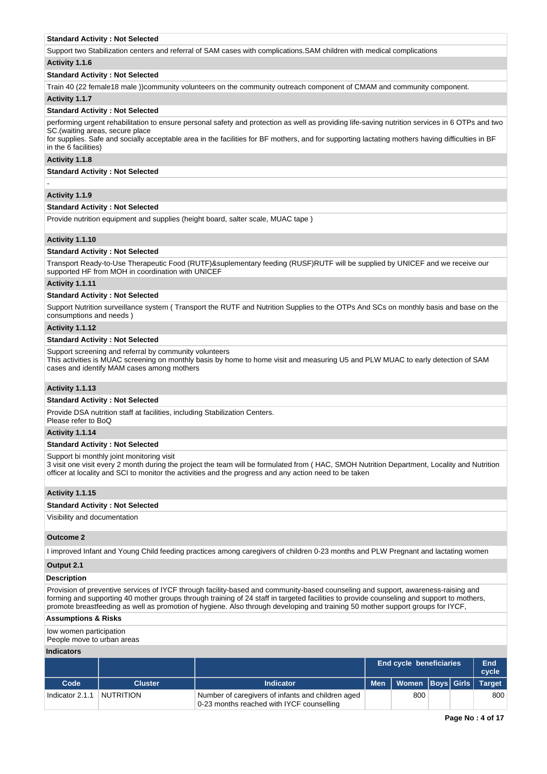#### **Standard Activity : Not Selected**

Support two Stabilization centers and referral of SAM cases with complications.SAM children with medical complications

#### **Activity 1.1.6**

## **Standard Activity : Not Selected**

Train 40 (22 female18 male ))community volunteers on the community outreach component of CMAM and community component.

## **Activity 1.1.7**

#### **Standard Activity : Not Selected**

performing urgent rehabilitation to ensure personal safety and protection as well as providing life-saving nutrition services in 6 OTPs and two SC.(waiting areas, secure place

for supplies. Safe and socially acceptable area in the facilities for BF mothers, and for supporting lactating mothers having difficulties in BF in the 6 facilities)

## **Activity 1.1.8**

## **Standard Activity : Not Selected**

## **Activity 1.1.9**

-

#### **Standard Activity : Not Selected**

Provide nutrition equipment and supplies (height board, salter scale, MUAC tape )

## **Activity 1.1.10**

#### **Standard Activity : Not Selected**

Transport Ready-to-Use Therapeutic Food (RUTF)&suplementary feeding (RUSF)RUTF will be supplied by UNICEF and we receive our supported HF from MOH in coordination with UNICEF

#### **Activity 1.1.11**

#### **Standard Activity : Not Selected**

Support Nutrition surveillance system ( Transport the RUTF and Nutrition Supplies to the OTPs And SCs on monthly basis and base on the consumptions and needs )

#### **Activity 1.1.12**

#### **Standard Activity : Not Selected**

Support screening and referral by community volunteers

This activities is MUAC screening on monthly basis by home to home visit and measuring U5 and PLW MUAC to early detection of SAM cases and identify MAM cases among mothers

## **Activity 1.1.13**

#### **Standard Activity : Not Selected**

Provide DSA nutrition staff at facilities, including Stabilization Centers.

Please refer to BoQ

# **Activity 1.1.14**

# **Standard Activity : Not Selected**

Support bi monthly joint monitoring visit

3 visit one visit every 2 month during the project the team will be formulated from ( HAC, SMOH Nutrition Department, Locality and Nutrition officer at locality and SCI to monitor the activities and the progress and any action need to be taken

### **Activity 1.1.15**

#### **Standard Activity : Not Selected**

## Visibility and documentation

#### **Outcome 2**

I improved Infant and Young Child feeding practices among caregivers of children 0-23 months and PLW Pregnant and lactating women

#### **Output 2.1**

## **Description**

Provision of preventive services of IYCF through facility-based and community-based counseling and support, awareness-raising and forming and supporting 40 mother groups through training of 24 staff in targeted facilities to provide counseling and support to mothers, promote breastfeeding as well as promotion of hygiene. Also through developing and training 50 mother support groups for IYCF,

#### **Assumptions & Risks**

low women participation

People move to urban areas

## **Indicators**

|                 |                  |                                                                                                |  | End cycle beneficiaries    |  | End<br>cycle  |
|-----------------|------------------|------------------------------------------------------------------------------------------------|--|----------------------------|--|---------------|
| Code            | <b>Cluster</b>   | <b>Indicator</b>                                                                               |  | Men   Women   Boys   Girls |  | <b>Target</b> |
| Indicator 2.1.1 | <b>NUTRITION</b> | Number of caregivers of infants and children aged<br>0-23 months reached with IYCF counselling |  | 800                        |  | 800           |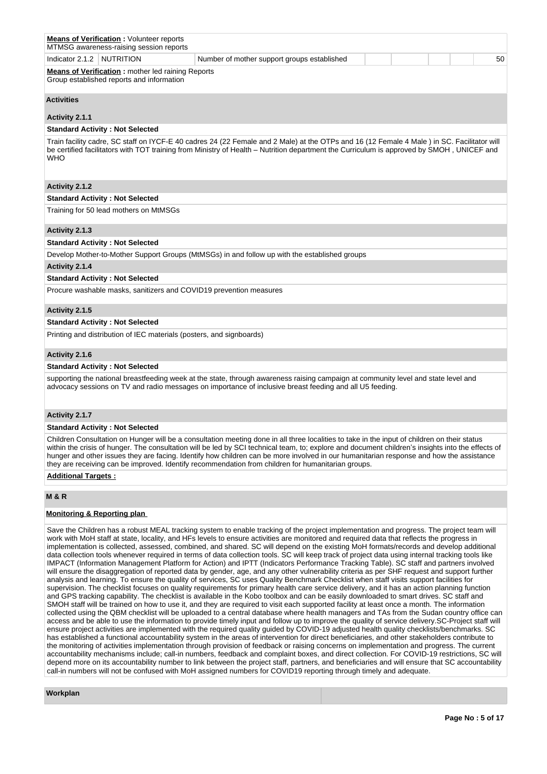| <b>Means of Verification: Volunteer reports</b><br>MTMSG awareness-raising session reports                                                                                                                                                                                                                                                                                                                                                                                                                                                         |
|----------------------------------------------------------------------------------------------------------------------------------------------------------------------------------------------------------------------------------------------------------------------------------------------------------------------------------------------------------------------------------------------------------------------------------------------------------------------------------------------------------------------------------------------------|
| Indicator 2.1.2<br><b>NUTRITION</b><br>Number of mother support groups established<br>50                                                                                                                                                                                                                                                                                                                                                                                                                                                           |
| <b>Means of Verification:</b> mother led raining Reports<br>Group established reports and information                                                                                                                                                                                                                                                                                                                                                                                                                                              |
| <b>Activities</b>                                                                                                                                                                                                                                                                                                                                                                                                                                                                                                                                  |
| Activity 2.1.1                                                                                                                                                                                                                                                                                                                                                                                                                                                                                                                                     |
| <b>Standard Activity: Not Selected</b>                                                                                                                                                                                                                                                                                                                                                                                                                                                                                                             |
| Train facility cadre, SC staff on IYCF-E 40 cadres 24 (22 Female and 2 Male) at the OTPs and 16 (12 Female 4 Male) in SC. Facilitator will<br>be certified facilitators with TOT training from Ministry of Health – Nutrition department the Curriculum is approved by SMOH, UNICEF and<br><b>WHO</b>                                                                                                                                                                                                                                              |
| Activity 2.1.2                                                                                                                                                                                                                                                                                                                                                                                                                                                                                                                                     |
| <b>Standard Activity: Not Selected</b>                                                                                                                                                                                                                                                                                                                                                                                                                                                                                                             |
| Training for 50 lead mothers on MtMSGs                                                                                                                                                                                                                                                                                                                                                                                                                                                                                                             |
| Activity 2.1.3                                                                                                                                                                                                                                                                                                                                                                                                                                                                                                                                     |
| <b>Standard Activity: Not Selected</b>                                                                                                                                                                                                                                                                                                                                                                                                                                                                                                             |
| Develop Mother-to-Mother Support Groups (MtMSGs) in and follow up with the established groups                                                                                                                                                                                                                                                                                                                                                                                                                                                      |
| Activity 2.1.4                                                                                                                                                                                                                                                                                                                                                                                                                                                                                                                                     |
| <b>Standard Activity: Not Selected</b>                                                                                                                                                                                                                                                                                                                                                                                                                                                                                                             |
| Procure washable masks, sanitizers and COVID19 prevention measures                                                                                                                                                                                                                                                                                                                                                                                                                                                                                 |
| Activity 2.1.5                                                                                                                                                                                                                                                                                                                                                                                                                                                                                                                                     |
| <b>Standard Activity: Not Selected</b>                                                                                                                                                                                                                                                                                                                                                                                                                                                                                                             |
| Printing and distribution of IEC materials (posters, and signboards)                                                                                                                                                                                                                                                                                                                                                                                                                                                                               |
| Activity 2.1.6                                                                                                                                                                                                                                                                                                                                                                                                                                                                                                                                     |
| <b>Standard Activity: Not Selected</b>                                                                                                                                                                                                                                                                                                                                                                                                                                                                                                             |
| supporting the national breastfeeding week at the state, through awareness raising campaign at community level and state level and<br>advocacy sessions on TV and radio messages on importance of inclusive breast feeding and all U5 feeding.                                                                                                                                                                                                                                                                                                     |
| Activity 2.1.7                                                                                                                                                                                                                                                                                                                                                                                                                                                                                                                                     |
| <b>Standard Activity: Not Selected</b>                                                                                                                                                                                                                                                                                                                                                                                                                                                                                                             |
| Children Consultation on Hunger will be a consultation meeting done in all three localities to take in the input of children on their status<br>within the crisis of hunger. The consultation will be led by SCI technical team, to; explore and document children's insights into the effects of<br>hunger and other issues they are facing. Identify how children can be more involved in our humanitarian response and how the assistance<br>they are receiving can be improved. Identify recommendation from children for humanitarian groups. |
| <b>Additional Targets:</b>                                                                                                                                                                                                                                                                                                                                                                                                                                                                                                                         |
| <b>M &amp; R</b>                                                                                                                                                                                                                                                                                                                                                                                                                                                                                                                                   |

## **Monitoring & Reporting plan**

Save the Children has a robust MEAL tracking system to enable tracking of the project implementation and progress. The project team will work with MoH staff at state, locality, and HFs levels to ensure activities are monitored and required data that reflects the progress in implementation is collected, assessed, combined, and shared. SC will depend on the existing MoH formats/records and develop additional data collection tools whenever required in terms of data collection tools. SC will keep track of project data using internal tracking tools like IMPACT (Information Management Platform for Action) and IPTT (Indicators Performance Tracking Table). SC staff and partners involved will ensure the disaggregation of reported data by gender, age, and any other vulnerability criteria as per SHF request and support further analysis and learning. To ensure the quality of services, SC uses Quality Benchmark Checklist when staff visits support facilities for supervision. The checklist focuses on quality requirements for primary health care service delivery, and it has an action planning function and GPS tracking capability. The checklist is available in the Kobo toolbox and can be easily downloaded to smart drives. SC staff and SMOH staff will be trained on how to use it, and they are required to visit each supported facility at least once a month. The information collected using the QBM checklist will be uploaded to a central database where health managers and TAs from the Sudan country office can access and be able to use the information to provide timely input and follow up to improve the quality of service delivery.SC-Project staff will ensure project activities are implemented with the required quality guided by COVID-19 adjusted health quality checklists/benchmarks. SC has established a functional accountability system in the areas of intervention for direct beneficiaries, and other stakeholders contribute to the monitoring of activities implementation through provision of feedback or raising concerns on implementation and progress. The current accountability mechanisms include; call-in numbers, feedback and complaint boxes, and direct collection. For COVID-19 restrictions, SC will depend more on its accountability number to link between the project staff, partners, and beneficiaries and will ensure that SC accountability call-in numbers will not be confused with MoH assigned numbers for COVID19 reporting through timely and adequate.

## **Workplan**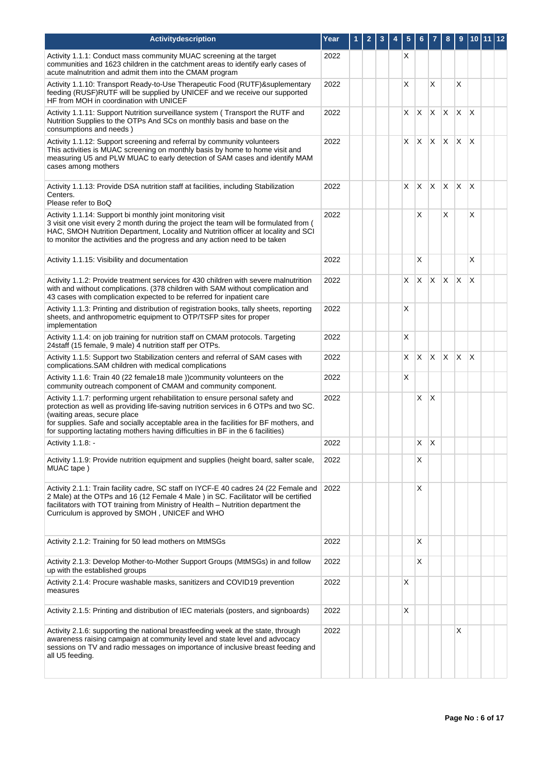| Activitydescription                                                                                                                                                                                                                                                                                                                                                                | Year | 1 | $\overline{2}$ | 3 | 4 | 5  | 6        |    | 8   | 9            | 10 <sub>1</sub> | 11 | $ 12\rangle$ |
|------------------------------------------------------------------------------------------------------------------------------------------------------------------------------------------------------------------------------------------------------------------------------------------------------------------------------------------------------------------------------------|------|---|----------------|---|---|----|----------|----|-----|--------------|-----------------|----|--------------|
| Activity 1.1.1: Conduct mass community MUAC screening at the target<br>communities and 1623 children in the catchment areas to identify early cases of<br>acute malnutrition and admit them into the CMAM program                                                                                                                                                                  | 2022 |   |                |   |   | Х  |          |    |     |              |                 |    |              |
| Activity 1.1.10: Transport Ready-to-Use Therapeutic Food (RUTF)& suplementary<br>feeding (RUSF)RUTF will be supplied by UNICEF and we receive our supported<br>HF from MOH in coordination with UNICEF                                                                                                                                                                             | 2022 |   |                |   |   | X  |          | X  |     | X            |                 |    |              |
| Activity 1.1.11: Support Nutrition surveillance system (Transport the RUTF and<br>Nutrition Supplies to the OTPs And SCs on monthly basis and base on the<br>consumptions and needs)                                                                                                                                                                                               | 2022 |   |                |   |   | X. | X        | X  | X.  | X            | $\times$        |    |              |
| Activity 1.1.12: Support screening and referral by community volunteers<br>This activities is MUAC screening on monthly basis by home to home visit and<br>measuring U5 and PLW MUAC to early detection of SAM cases and identify MAM<br>cases among mothers                                                                                                                       | 2022 |   |                |   |   | X. | X.       | X  | X.  | $\mathsf{X}$ | $\mathsf{X}$    |    |              |
| Activity 1.1.13: Provide DSA nutrition staff at facilities, including Stabilization<br>Centers.<br>Please refer to BoQ                                                                                                                                                                                                                                                             | 2022 |   |                |   |   | X  | <b>X</b> | X  | X.  | X            | $\times$        |    |              |
| Activity 1.1.14: Support bi monthly joint monitoring visit<br>3 visit one visit every 2 month during the project the team will be formulated from (<br>HAC, SMOH Nutrition Department, Locality and Nutrition officer at locality and SCI<br>to monitor the activities and the progress and any action need to be taken                                                            | 2022 |   |                |   |   |    | X        |    | X   |              | $\times$        |    |              |
| Activity 1.1.15: Visibility and documentation                                                                                                                                                                                                                                                                                                                                      | 2022 |   |                |   |   |    | X        |    |     |              | X               |    |              |
| Activity 1.1.2: Provide treatment services for 430 children with severe malnutrition<br>with and without complications. (378 children with SAM without complication and<br>43 cases with complication expected to be referred for inpatient care                                                                                                                                   | 2022 |   |                |   |   | X  | X        | X  | X.  | $\mathsf{X}$ | X               |    |              |
| Activity 1.1.3: Printing and distribution of registration books, tally sheets, reporting<br>sheets, and anthropometric equipment to OTP/TSFP sites for proper<br>implementation                                                                                                                                                                                                    | 2022 |   |                |   |   | Х  |          |    |     |              |                 |    |              |
| Activity 1.1.4: on job training for nutrition staff on CMAM protocols. Targeting<br>24staff (15 female, 9 male) 4 nutrition staff per OTPs.                                                                                                                                                                                                                                        | 2022 |   |                |   |   | X  |          |    |     |              |                 |    |              |
| Activity 1.1.5: Support two Stabilization centers and referral of SAM cases with<br>complications.SAM children with medical complications                                                                                                                                                                                                                                          | 2022 |   |                |   |   | X  | X.       | X  | IX. | X            | $\times$        |    |              |
| Activity 1.1.6: Train 40 (22 female 18 male)) community volunteers on the<br>community outreach component of CMAM and community component.                                                                                                                                                                                                                                         | 2022 |   |                |   |   | Χ  |          |    |     |              |                 |    |              |
| Activity 1.1.7: performing urgent rehabilitation to ensure personal safety and<br>protection as well as providing life-saving nutrition services in 6 OTPs and two SC.<br>(waiting areas, secure place<br>for supplies. Safe and socially acceptable area in the facilities for BF mothers, and<br>for supporting lactating mothers having difficulties in BF in the 6 facilities) | 2022 |   |                |   |   |    | X        | X  |     |              |                 |    |              |
| Activity 1.1.8: -                                                                                                                                                                                                                                                                                                                                                                  | 2022 |   |                |   |   |    | X.       | ΙX |     |              |                 |    |              |
| Activity 1.1.9: Provide nutrition equipment and supplies (height board, salter scale,<br>MUAC tape)                                                                                                                                                                                                                                                                                | 2022 |   |                |   |   |    | х        |    |     |              |                 |    |              |
| Activity 2.1.1: Train facility cadre, SC staff on IYCF-E 40 cadres 24 (22 Female and<br>2 Male) at the OTPs and 16 (12 Female 4 Male) in SC. Facilitator will be certified<br>facilitators with TOT training from Ministry of Health – Nutrition department the<br>Curriculum is approved by SMOH, UNICEF and WHO                                                                  | 2022 |   |                |   |   |    | х        |    |     |              |                 |    |              |
| Activity 2.1.2: Training for 50 lead mothers on MtMSGs                                                                                                                                                                                                                                                                                                                             | 2022 |   |                |   |   |    | Χ        |    |     |              |                 |    |              |
| Activity 2.1.3: Develop Mother-to-Mother Support Groups (MtMSGs) in and follow<br>up with the established groups                                                                                                                                                                                                                                                                   | 2022 |   |                |   |   |    | X        |    |     |              |                 |    |              |
| Activity 2.1.4: Procure washable masks, sanitizers and COVID19 prevention<br>measures                                                                                                                                                                                                                                                                                              | 2022 |   |                |   |   | Х  |          |    |     |              |                 |    |              |
| Activity 2.1.5: Printing and distribution of IEC materials (posters, and signboards)                                                                                                                                                                                                                                                                                               | 2022 |   |                |   |   | X  |          |    |     |              |                 |    |              |
| Activity 2.1.6: supporting the national breastfeeding week at the state, through<br>awareness raising campaign at community level and state level and advocacy<br>sessions on TV and radio messages on importance of inclusive breast feeding and<br>all U5 feeding.                                                                                                               | 2022 |   |                |   |   |    |          |    |     | X            |                 |    |              |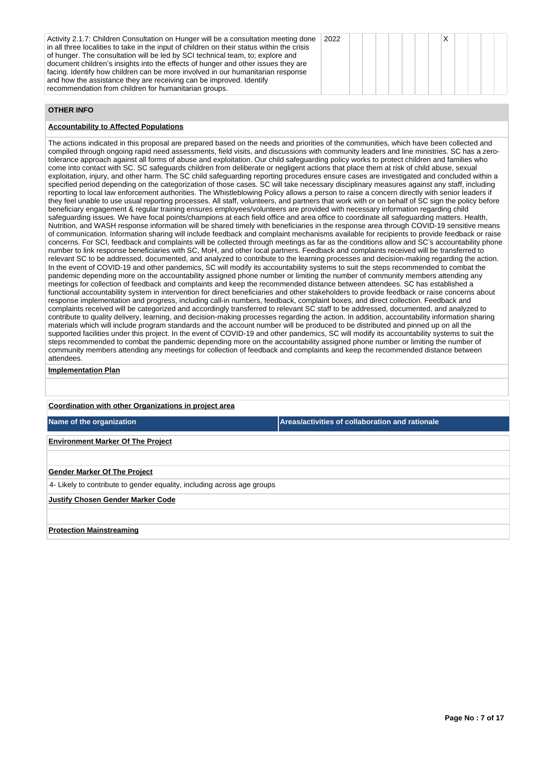| Activity 2.1.7: Children Consultation on Hunger will be a consultation meeting done<br>in all three localities to take in the input of children on their status within the crisis<br>of hunger. The consultation will be led by SCI technical team, to; explore and<br>document children's insights into the effects of hunger and other issues they are<br>facing. Identify how children can be more involved in our humanitarian response<br>and how the assistance they are receiving can be improved. Identify<br>recommendation from children for humanitarian groups. | 2022 |  |  |  |
|-----------------------------------------------------------------------------------------------------------------------------------------------------------------------------------------------------------------------------------------------------------------------------------------------------------------------------------------------------------------------------------------------------------------------------------------------------------------------------------------------------------------------------------------------------------------------------|------|--|--|--|
|-----------------------------------------------------------------------------------------------------------------------------------------------------------------------------------------------------------------------------------------------------------------------------------------------------------------------------------------------------------------------------------------------------------------------------------------------------------------------------------------------------------------------------------------------------------------------------|------|--|--|--|

# **OTHER INFO**

## **Accountability to Affected Populations**

The actions indicated in this proposal are prepared based on the needs and priorities of the communities, which have been collected and compiled through ongoing rapid need assessments, field visits, and discussions with community leaders and line ministries. SC has a zerotolerance approach against all forms of abuse and exploitation. Our child safeguarding policy works to protect children and families who come into contact with SC. SC safeguards children from deliberate or negligent actions that place them at risk of child abuse, sexual exploitation, injury, and other harm. The SC child safeguarding reporting procedures ensure cases are investigated and concluded within a specified period depending on the categorization of those cases. SC will take necessary disciplinary measures against any staff, including reporting to local law enforcement authorities. The Whistleblowing Policy allows a person to raise a concern directly with senior leaders if they feel unable to use usual reporting processes. All staff, volunteers, and partners that work with or on behalf of SC sign the policy before beneficiary engagement & regular training ensures employees/volunteers are provided with necessary information regarding child safeguarding issues. We have focal points/champions at each field office and area office to coordinate all safeguarding matters. Health, Nutrition, and WASH response information will be shared timely with beneficiaries in the response area through COVID-19 sensitive means of communication. Information sharing will include feedback and complaint mechanisms available for recipients to provide feedback or raise concerns. For SCI, feedback and complaints will be collected through meetings as far as the conditions allow and SC's accountability phone number to link response beneficiaries with SC, MoH, and other local partners. Feedback and complaints received will be transferred to relevant SC to be addressed, documented, and analyzed to contribute to the learning processes and decision-making regarding the action. In the event of COVID-19 and other pandemics, SC will modify its accountability systems to suit the steps recommended to combat the pandemic depending more on the accountability assigned phone number or limiting the number of community members attending any meetings for collection of feedback and complaints and keep the recommended distance between attendees. SC has established a functional accountability system in intervention for direct beneficiaries and other stakeholders to provide feedback or raise concerns about response implementation and progress, including call-in numbers, feedback, complaint boxes, and direct collection. Feedback and complaints received will be categorized and accordingly transferred to relevant SC staff to be addressed, documented, and analyzed to contribute to quality delivery, learning, and decision-making processes regarding the action. In addition, accountability information sharing materials which will include program standards and the account number will be produced to be distributed and pinned up on all the supported facilities under this project. In the event of COVID-19 and other pandemics, SC will modify its accountability systems to suit the steps recommended to combat the pandemic depending more on the accountability assigned phone number or limiting the number of community members attending any meetings for collection of feedback and complaints and keep the recommended distance between attendees.

## **Implementation Plan**

#### **Coordination with other Organizations in project area**

**Name of the organization Areas/activities of collaboration and rationale** 

## **Environment Marker Of The Project**

### **Gender Marker Of The Project**

4- Likely to contribute to gender equality, including across age groups

#### **Justify Chosen Gender Marker Code**

### **Protection Mainstreaming**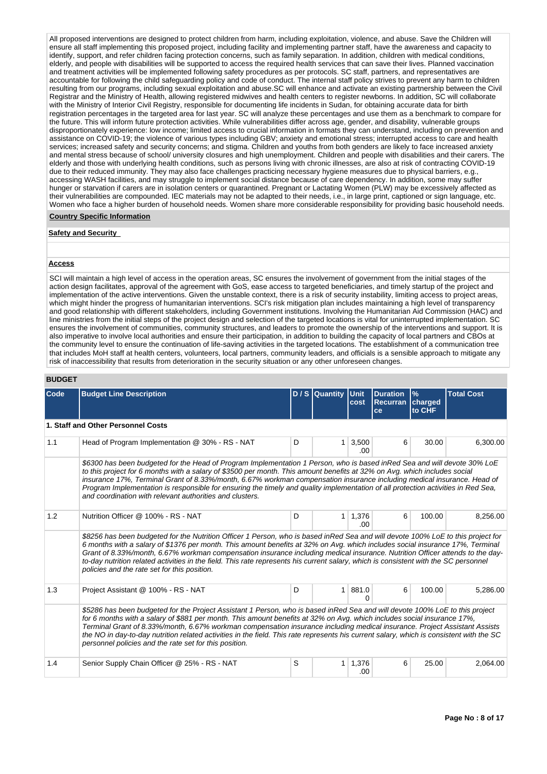All proposed interventions are designed to protect children from harm, including exploitation, violence, and abuse. Save the Children will ensure all staff implementing this proposed project, including facility and implementing partner staff, have the awareness and capacity to identify, support, and refer children facing protection concerns, such as family separation. In addition, children with medical conditions, elderly, and people with disabilities will be supported to access the required health services that can save their lives. Planned vaccination and treatment activities will be implemented following safety procedures as per protocols. SC staff, partners, and representatives are accountable for following the child safeguarding policy and code of conduct. The internal staff policy strives to prevent any harm to children resulting from our programs, including sexual exploitation and abuse.SC will enhance and activate an existing partnership between the Civil Registrar and the Ministry of Health, allowing registered midwives and health centers to register newborns. In addition, SC will collaborate with the Ministry of Interior Civil Registry, responsible for documenting life incidents in Sudan, for obtaining accurate data for birth registration percentages in the targeted area for last year. SC will analyze these percentages and use them as a benchmark to compare for the future. This will inform future protection activities. While vulnerabilities differ across age, gender, and disability, vulnerable groups disproportionately experience: low income; limited access to crucial information in formats they can understand, including on prevention and assistance on COVID-19; the violence of various types including GBV; anxiety and emotional stress; interrupted access to care and health services; increased safety and security concerns; and stigma. Children and youths from both genders are likely to face increased anxiety and mental stress because of school/ university closures and high unemployment. Children and people with disabilities and their carers. The elderly and those with underlying health conditions, such as persons living with chronic illnesses, are also at risk of contracting COVID-19 due to their reduced immunity. They may also face challenges practicing necessary hygiene measures due to physical barriers, e.g. accessing WASH facilities, and may struggle to implement social distance because of care dependency. In addition, some may suffer hunger or starvation if carers are in isolation centers or quarantined. Pregnant or Lactating Women (PLW) may be excessively affected as their vulnerabilities are compounded. IEC materials may not be adapted to their needs, i.e., in large print, captioned or sign language, etc. Women who face a higher burden of household needs. Women share more considerable responsibility for providing basic household needs.

#### **Country Specific Information**

#### **Safety and Security**

#### **Access**

SCI will maintain a high level of access in the operation areas, SC ensures the involvement of government from the initial stages of the action design facilitates, approval of the agreement with GoS, ease access to targeted beneficiaries, and timely startup of the project and implementation of the active interventions. Given the unstable context, there is a risk of security instability, limiting access to project areas, which might hinder the progress of humanitarian interventions. SCI's risk mitigation plan includes maintaining a high level of transparency and good relationship with different stakeholders, including Government institutions. Involving the Humanitarian Aid Commission (HAC) and line ministries from the initial steps of the project design and selection of the targeted locations is vital for uninterrupted implementation. SC ensures the involvement of communities, community structures, and leaders to promote the ownership of the interventions and support. It is also imperative to involve local authorities and ensure their participation, in addition to building the capacity of local partners and CBOs at the community level to ensure the continuation of life-saving activities in the targeted locations. The establishment of a communication tree that includes MoH staff at health centers, volunteers, local partners, community leaders, and officials is a sensible approach to mitigate any risk of inaccessibility that results from deterioration in the security situation or any other unforeseen changes.

#### **BUDGET**

| Code | <b>Budget Line Description</b>                                                                                                                                                                                                                                                                                                                                                                                                                                                                                                                                                              |   | D / S Quantity | <b>Unit</b><br>cost   | <b>Duration</b><br><b>Recurran</b><br>ce | $\frac{9}{6}$<br>charged<br>to CHF | <b>Total Cost</b> |  |  |  |
|------|---------------------------------------------------------------------------------------------------------------------------------------------------------------------------------------------------------------------------------------------------------------------------------------------------------------------------------------------------------------------------------------------------------------------------------------------------------------------------------------------------------------------------------------------------------------------------------------------|---|----------------|-----------------------|------------------------------------------|------------------------------------|-------------------|--|--|--|
|      | 1. Staff and Other Personnel Costs                                                                                                                                                                                                                                                                                                                                                                                                                                                                                                                                                          |   |                |                       |                                          |                                    |                   |  |  |  |
| 1.1  | Head of Program Implementation @ 30% - RS - NAT                                                                                                                                                                                                                                                                                                                                                                                                                                                                                                                                             | D | 1              | 3,500<br>.00          | 6                                        | 30.00                              | 6,300.00          |  |  |  |
|      | \$6300 has been budgeted for the Head of Program Implementation 1 Person, who is based inRed Sea and will devote 30% LoE<br>to this project for 6 months with a salary of \$3500 per month. This amount benefits at 32% on Avq. which includes social<br>insurance 17%, Terminal Grant of 8.33%/month, 6.67% workman compensation insurance including medical insurance. Head of<br>Program Implementation is responsible for ensuring the timely and quality implementation of all protection activities in Red Sea.<br>and coordination with relevant authorities and clusters.           |   |                |                       |                                          |                                    |                   |  |  |  |
| 1.2  | Nutrition Officer @ 100% - RS - NAT                                                                                                                                                                                                                                                                                                                                                                                                                                                                                                                                                         | D | 1              | 1,376<br>.00.         | 6                                        | 100.00                             | 8,256.00          |  |  |  |
|      | \$8256 has been budgeted for the Nutrition Officer 1 Person, who is based inRed Sea and will devote 100% LoE to this project for<br>6 months with a salary of \$1376 per month. This amount benefits at 32% on Avg. which includes social insurance 17%, Terminal<br>Grant of 8.33%/month, 6.67% workman compensation insurance including medical insurance. Nutrition Officer attends to the day-<br>to-day nutrition related activities in the field. This rate represents his current salary, which is consistent with the SC personnel<br>policies and the rate set for this position.  |   |                |                       |                                          |                                    |                   |  |  |  |
| 1.3  | Project Assistant @ 100% - RS - NAT                                                                                                                                                                                                                                                                                                                                                                                                                                                                                                                                                         | D | $\mathbf{1}$   | 881.0<br><sup>0</sup> | 6                                        | 100.00                             | 5,286.00          |  |  |  |
|      | \$5286 has been budgeted for the Project Assistant 1 Person, who is based inRed Sea and will devote 100% LoE to this project<br>for 6 months with a salary of \$881 per month. This amount benefits at 32% on Avg. which includes social insurance 17%,<br>Terminal Grant of 8.33%/month, 6.67% workman compensation insurance including medical insurance. Project Assistant Assists<br>the NO in day-to-day nutrition related activities in the field. This rate represents his current salary, which is consistent with the SC<br>personnel policies and the rate set for this position. |   |                |                       |                                          |                                    |                   |  |  |  |
| 1.4  | Senior Supply Chain Officer @ 25% - RS - NAT                                                                                                                                                                                                                                                                                                                                                                                                                                                                                                                                                | S | 1              | 1,376<br>.00          | 6                                        | 25.00                              | 2,064.00          |  |  |  |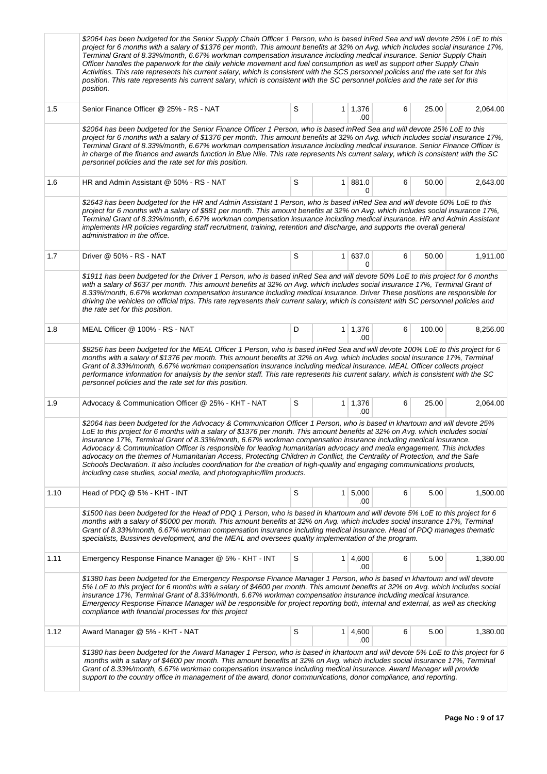|      | \$2064 has been budgeted for the Senior Supply Chain Officer 1 Person, who is based inRed Sea and will devote 25% LoE to this<br>project for 6 months with a salary of \$1376 per month. This amount benefits at 32% on Avg. which includes social insurance 17%,<br>Terminal Grant of 8.33%/month, 6.67% workman compensation insurance including medical insurance. Senior Supply Chain<br>Officer handles the paperwork for the daily vehicle movement and fuel consumption as well as support other Supply Chain<br>Activities. This rate represents his current salary, which is consistent with the SCS personnel policies and the rate set for this<br>position. This rate represents his current salary, which is consistent with the SC personnel policies and the rate set for this<br>position.                                |   |                |                       |   |        |          |
|------|-------------------------------------------------------------------------------------------------------------------------------------------------------------------------------------------------------------------------------------------------------------------------------------------------------------------------------------------------------------------------------------------------------------------------------------------------------------------------------------------------------------------------------------------------------------------------------------------------------------------------------------------------------------------------------------------------------------------------------------------------------------------------------------------------------------------------------------------|---|----------------|-----------------------|---|--------|----------|
| 1.5  | Senior Finance Officer @ 25% - RS - NAT                                                                                                                                                                                                                                                                                                                                                                                                                                                                                                                                                                                                                                                                                                                                                                                                   | S |                | $1 \mid 1,376$<br>.00 | 6 | 25.00  | 2,064.00 |
|      | \$2064 has been budgeted for the Senior Finance Officer 1 Person, who is based inRed Sea and will devote 25% LoE to this<br>project for 6 months with a salary of \$1376 per month. This amount benefits at 32% on Avg. which includes social insurance 17%,<br>Terminal Grant of 8.33%/month, 6.67% workman compensation insurance including medical insurance. Senior Finance Officer is<br>in charge of the finance and awards function in Blue Nile. This rate represents his current salary, which is consistent with the SC<br>personnel policies and the rate set for this position.                                                                                                                                                                                                                                               |   |                |                       |   |        |          |
| 1.6  | HR and Admin Assistant @ 50% - RS - NAT                                                                                                                                                                                                                                                                                                                                                                                                                                                                                                                                                                                                                                                                                                                                                                                                   | S |                | 1   881.0<br>0        | 6 | 50.00  | 2,643.00 |
|      | \$2643 has been budgeted for the HR and Admin Assistant 1 Person, who is based inRed Sea and will devote 50% LoE to this<br>project for 6 months with a salary of \$881 per month. This amount benefits at 32% on Avg. which includes social insurance 17%,<br>Terminal Grant of 8.33%/month, 6.67% workman compensation insurance including medical insurance. HR and Admin Assistant<br>implements HR policies regarding staff recruitment, training, retention and discharge, and supports the overall general<br>administration in the office.                                                                                                                                                                                                                                                                                        |   |                |                       |   |        |          |
| 1.7  | Driver @ 50% - RS - NAT                                                                                                                                                                                                                                                                                                                                                                                                                                                                                                                                                                                                                                                                                                                                                                                                                   | S |                | 1   637.0<br>0        | 6 | 50.00  | 1,911.00 |
|      | \$1911 has been budgeted for the Driver 1 Person, who is based inRed Sea and will devote 50% LoE to this project for 6 months<br>with a salary of \$637 per month. This amount benefits at 32% on Avg. which includes social insurance 17%, Terminal Grant of<br>8.33%/month, 6.67% workman compensation insurance including medical insurance. Driver These positions are responsible for<br>driving the vehicles on official trips. This rate represents their current salary, which is consistent with SC personnel policies and<br>the rate set for this position.                                                                                                                                                                                                                                                                    |   |                |                       |   |        |          |
| 1.8  | MEAL Officer @ 100% - RS - NAT                                                                                                                                                                                                                                                                                                                                                                                                                                                                                                                                                                                                                                                                                                                                                                                                            | D |                | 1 1,376<br>.00        | 6 | 100.00 | 8,256.00 |
|      | \$8256 has been budgeted for the MEAL Officer 1 Person, who is based inRed Sea and will devote 100% LoE to this project for 6<br>months with a salary of \$1376 per month. This amount benefits at 32% on Avg. which includes social insurance 17%, Terminal<br>Grant of 8.33%/month, 6.67% workman compensation insurance including medical insurance. MEAL Officer collects project<br>performance information for analysis by the senior staff. This rate represents his current salary, which is consistent with the SC<br>personnel policies and the rate set for this position.                                                                                                                                                                                                                                                     |   |                |                       |   |        |          |
| 1.9  | Advocacy & Communication Officer @ 25% - KHT - NAT                                                                                                                                                                                                                                                                                                                                                                                                                                                                                                                                                                                                                                                                                                                                                                                        | S |                | $1 \mid 1,376$<br>.00 | 6 | 25.00  | 2,064.00 |
|      | \$2064 has been budgeted for the Advocacy & Communication Officer 1 Person, who is based in khartoum and will devote 25%<br>LoE to this project for 6 months with a salary of \$1376 per month. This amount benefits at 32% on Avg. which includes social<br>insurance 17%, Terminal Grant of 8.33%/month, 6.67% workman compensation insurance including medical insurance.<br>Advocacy & Communication Officer is responsible for leading humanitarian advocacy and media engagement. This includes<br>advocacy on the themes of Humanitarian Access, Protecting Children in Conflict, the Centrality of Protection, and the Safe<br>Schools Declaration. It also includes coordination for the creation of high-quality and engaging communications products,<br>including case studies, social media, and photographic/film products. |   |                |                       |   |        |          |
| 1.10 | Head of PDQ @ 5% - KHT - INT                                                                                                                                                                                                                                                                                                                                                                                                                                                                                                                                                                                                                                                                                                                                                                                                              | S | 1 <sup>1</sup> | 5,000<br>.00          | 6 | 5.00   | 1,500.00 |
|      | \$1500 has been budgeted for the Head of PDQ 1 Person, who is based in khartoum and will devote 5% LoE to this project for 6<br>months with a salary of \$5000 per month. This amount benefits at 32% on Avg. which includes social insurance 17%, Terminal<br>Grant of 8.33%/month, 6.67% workman compensation insurance including medical insurance. Head of PDQ manages thematic<br>specialists, Bussines development, and the MEAL and oversees quality implementation of the program.                                                                                                                                                                                                                                                                                                                                                |   |                |                       |   |        |          |
| 1.11 | Emergency Response Finance Manager @ 5% - KHT - INT                                                                                                                                                                                                                                                                                                                                                                                                                                                                                                                                                                                                                                                                                                                                                                                       | S | 1 <sup>1</sup> | 4,600<br>.00          | 6 | 5.00   | 1,380.00 |
|      | \$1380 has been budgeted for the Emergency Response Finance Manager 1 Person, who is based in khartoum and will devote<br>5% LoE to this project for 6 months with a salary of \$4600 per month. This amount benefits at 32% on Avg. which includes social<br>insurance 17%, Terminal Grant of 8.33%/month, 6.67% workman compensation insurance including medical insurance.<br>Emergency Response Finance Manager will be responsible for project reporting both, internal and external, as well as checking<br>compliance with financial processes for this project                                                                                                                                                                                                                                                                    |   |                |                       |   |        |          |
| 1.12 | Award Manager @ 5% - KHT - NAT                                                                                                                                                                                                                                                                                                                                                                                                                                                                                                                                                                                                                                                                                                                                                                                                            | S |                | $1 \mid 4,600$<br>.00 | 6 | 5.00   | 1,380.00 |
|      | \$1380 has been budgeted for the Award Manager 1 Person, who is based in khartoum and will devote 5% LoE to this project for 6<br>months with a salary of \$4600 per month. This amount benefits at 32% on Avg. which includes social insurance 17%, Terminal<br>Grant of 8.33%/month, 6.67% workman compensation insurance including medical insurance. Award Manager will provide<br>support to the country office in management of the award, donor communications, donor compliance, and reporting.                                                                                                                                                                                                                                                                                                                                   |   |                |                       |   |        |          |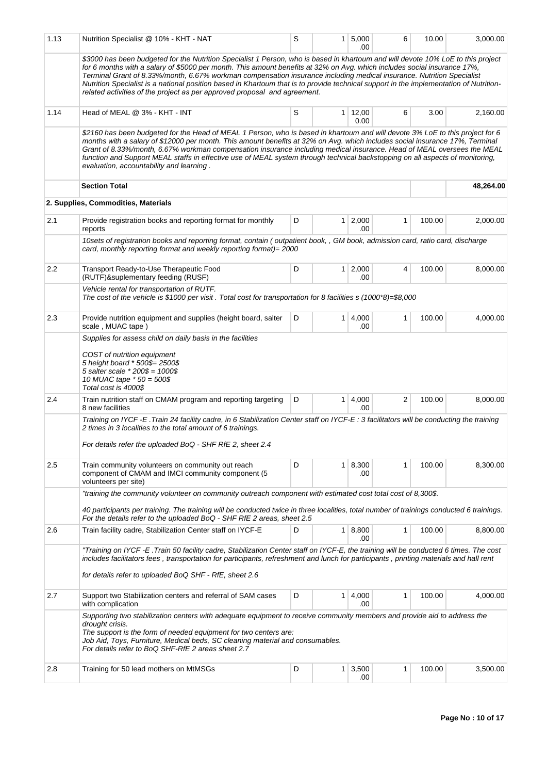| 1.13 | Nutrition Specialist @ 10% - KHT - NAT                                                                                                                                                                                                                                                                                                                                                                                                                                                                                                                                                                       | S | 1 <sup>1</sup> | 5,000<br>.00     | 6            | 10.00  | 3,000.00  |
|------|--------------------------------------------------------------------------------------------------------------------------------------------------------------------------------------------------------------------------------------------------------------------------------------------------------------------------------------------------------------------------------------------------------------------------------------------------------------------------------------------------------------------------------------------------------------------------------------------------------------|---|----------------|------------------|--------------|--------|-----------|
|      | \$3000 has been budgeted for the Nutrition Specialist 1 Person, who is based in khartoum and will devote 10% LoE to this project<br>for 6 months with a salary of \$5000 per month. This amount benefits at 32% on Avg. which includes social insurance 17%,<br>Terminal Grant of 8.33%/month, 6.67% workman compensation insurance including medical insurance. Nutrition Specialist<br>Nutrition Specialist is a national position based in Khartoum that is to provide technical support in the implementation of Nutrition-<br>related activities of the project as per approved proposal and agreement. |   |                |                  |              |        |           |
| 1.14 | Head of MEAL @ 3% - KHT - INT                                                                                                                                                                                                                                                                                                                                                                                                                                                                                                                                                                                | S | 1              | 12,00<br>0.00    | 6            | 3.00   | 2,160.00  |
|      | \$2160 has been budgeted for the Head of MEAL 1 Person, who is based in khartoum and will devote 3% LoE to this project for 6<br>months with a salary of \$12000 per month. This amount benefits at 32% on Avg. which includes social insurance 17%, Terminal<br>Grant of 8.33%/month, 6.67% workman compensation insurance including medical insurance. Head of MEAL oversees the MEAL<br>function and Support MEAL staffs in effective use of MEAL system through technical backstopping on all aspects of monitoring,<br>evaluation, accountability and learning.                                         |   |                |                  |              |        |           |
|      | <b>Section Total</b>                                                                                                                                                                                                                                                                                                                                                                                                                                                                                                                                                                                         |   |                |                  |              |        | 48,264.00 |
|      | 2. Supplies, Commodities, Materials                                                                                                                                                                                                                                                                                                                                                                                                                                                                                                                                                                          |   |                |                  |              |        |           |
| 2.1  | Provide registration books and reporting format for monthly<br>reports                                                                                                                                                                                                                                                                                                                                                                                                                                                                                                                                       | D | $\mathbf{1}$   | 2,000<br>.00     | 1            | 100.00 | 2,000.00  |
|      | 10sets of registration books and reporting format, contain (outpatient book, , GM book, admission card, ratio card, discharge<br>card, monthly reporting format and weekly reporting format)= 2000                                                                                                                                                                                                                                                                                                                                                                                                           |   |                |                  |              |        |           |
| 2.2  | Transport Ready-to-Use Therapeutic Food<br>(RUTF)&suplementary feeding (RUSF)                                                                                                                                                                                                                                                                                                                                                                                                                                                                                                                                | D | 1 <sup>1</sup> | 2,000<br>.00     | 4            | 100.00 | 8,000.00  |
|      | Vehicle rental for transportation of RUTF.<br>The cost of the vehicle is \$1000 per visit. Total cost for transportation for 8 facilities $s(1000^*8)=\$8,000$                                                                                                                                                                                                                                                                                                                                                                                                                                               |   |                |                  |              |        |           |
| 2.3  | Provide nutrition equipment and supplies (height board, salter<br>scale, MUAC tape)                                                                                                                                                                                                                                                                                                                                                                                                                                                                                                                          | D | 1 <sup>1</sup> | 4,000<br>.00     | $\mathbf{1}$ | 100.00 | 4,000.00  |
|      | COST of nutrition equipment<br>5 height board * 500\$= 2500\$<br>5 salter scale * 200\$ = 1000\$<br>10 MUAC tape * 50 = 500\$<br>Total cost is 4000\$                                                                                                                                                                                                                                                                                                                                                                                                                                                        |   |                |                  |              |        |           |
| 2.4  | Train nutrition staff on CMAM program and reporting targeting<br>8 new facilities                                                                                                                                                                                                                                                                                                                                                                                                                                                                                                                            | D | 1.             | 4,000<br>.00     | 2            | 100.00 | 8,000.00  |
|      | Training on IYCF -E . Train 24 facility cadre, in 6 Stabilization Center staff on IYCF-E: 3 facilitators will be conducting the training<br>2 times in 3 localities to the total amount of 6 trainings.<br>For details refer the uploaded BoQ - SHF RfE 2, sheet 2.4                                                                                                                                                                                                                                                                                                                                         |   |                |                  |              |        |           |
| 2.5  | Train community volunteers on community out reach<br>component of CMAM and IMCI community component (5<br>volunteers per site)                                                                                                                                                                                                                                                                                                                                                                                                                                                                               | D | 1              | 8,300<br>.00     | 1            | 100.00 | 8,300.00  |
|      | "training the community volunteer on community outreach component with estimated cost total cost of 8,300\$.<br>40 participants per training. The training will be conducted twice in three localities, total number of trainings conducted 6 trainings.                                                                                                                                                                                                                                                                                                                                                     |   |                |                  |              |        |           |
|      | For the details refer to the uploaded BoQ - SHF RfE 2 areas, sheet 2.5                                                                                                                                                                                                                                                                                                                                                                                                                                                                                                                                       |   |                |                  |              |        |           |
| 2.6  | Train facility cadre, Stabilization Center staff on IYCF-E<br>"Training on IYCF -E .Train 50 facility cadre, Stabilization Center staff on IYCF-E, the training will be conducted 6 times. The cost                                                                                                                                                                                                                                                                                                                                                                                                          | D | 1 <sup>1</sup> | 8,800<br>.00     | 1            | 100.00 | 8,800.00  |
|      | includes facilitators fees, transportation for participants, refreshment and lunch for participants, printing materials and hall rent<br>for details refer to uploaded BoQ SHF - RfE, sheet 2.6                                                                                                                                                                                                                                                                                                                                                                                                              |   |                |                  |              |        |           |
| 2.7  | Support two Stabilization centers and referral of SAM cases<br>with complication                                                                                                                                                                                                                                                                                                                                                                                                                                                                                                                             | D |                | 1   4,000<br>.00 | 1            | 100.00 | 4,000.00  |
|      | Supporting two stabilization centers with adequate equipment to receive community members and provide aid to address the<br>drought crisis.<br>The support is the form of needed equipment for two centers are:<br>Job Aid, Toys, Furniture, Medical beds, SC cleaning material and consumables.<br>For details refer to BoQ SHF-RfE 2 areas sheet 2.7                                                                                                                                                                                                                                                       |   |                |                  |              |        |           |
| 2.8  | Training for 50 lead mothers on MtMSGs                                                                                                                                                                                                                                                                                                                                                                                                                                                                                                                                                                       | D | 1              | 3,500<br>.00     | $\mathbf{1}$ | 100.00 | 3,500.00  |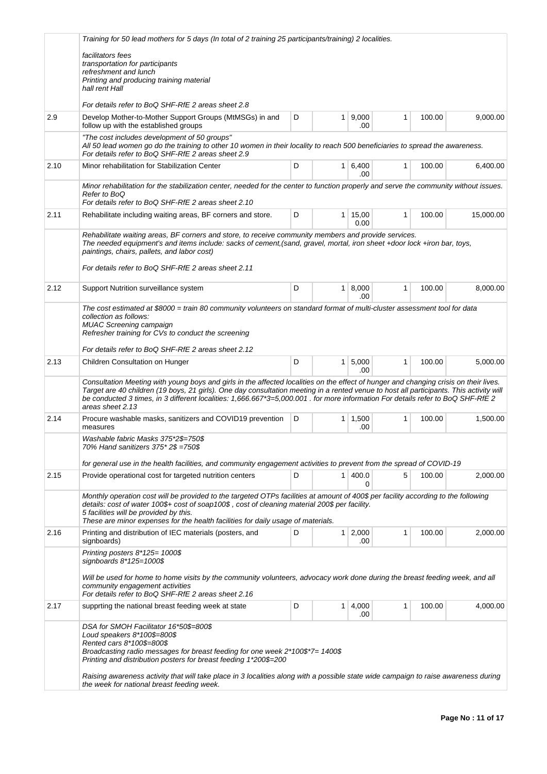|      | Training for 50 lead mothers for 5 days (In total of 2 training 25 participants/training) 2 localities.                                                                                                                                                                                                                                                                                                                                         |                                          |    |               |              |        |           |  |  |  |
|------|-------------------------------------------------------------------------------------------------------------------------------------------------------------------------------------------------------------------------------------------------------------------------------------------------------------------------------------------------------------------------------------------------------------------------------------------------|------------------------------------------|----|---------------|--------------|--------|-----------|--|--|--|
|      | facilitators fees<br>transportation for participants<br>refreshment and lunch<br>Printing and producing training material                                                                                                                                                                                                                                                                                                                       |                                          |    |               |              |        |           |  |  |  |
|      | hall rent Hall                                                                                                                                                                                                                                                                                                                                                                                                                                  |                                          |    |               |              |        |           |  |  |  |
|      | For details refer to BoQ SHF-RfE 2 areas sheet 2.8                                                                                                                                                                                                                                                                                                                                                                                              |                                          |    |               |              |        |           |  |  |  |
| 2.9  | Develop Mother-to-Mother Support Groups (MtMSGs) in and<br>D<br>9,000<br>$\mathbf{1}$<br>100.00<br>9,000.00<br>1<br>follow up with the established groups<br>.00                                                                                                                                                                                                                                                                                |                                          |    |               |              |        |           |  |  |  |
|      | "The cost includes development of 50 groups"<br>All 50 lead women go do the training to other 10 women in their locality to reach 500 beneficiaries to spread the awareness.<br>For details refer to BoQ SHF-RfE 2 areas sheet 2.9                                                                                                                                                                                                              |                                          |    |               |              |        |           |  |  |  |
| 2.10 | Minor rehabilitation for Stabilization Center                                                                                                                                                                                                                                                                                                                                                                                                   | D<br>$1 \, 6,400$<br>$\mathbf{1}$<br>.00 |    |               |              |        |           |  |  |  |
|      | Minor rehabilitation for the stabilization center, needed for the center to function properly and serve the community without issues.<br>Refer to BoQ<br>For details refer to BoQ SHF-RfE 2 areas sheet 2.10                                                                                                                                                                                                                                    |                                          |    |               |              |        |           |  |  |  |
| 2.11 | Rehabilitate including waiting areas, BF corners and store.                                                                                                                                                                                                                                                                                                                                                                                     | D                                        | 1  | 15,00<br>0.00 | $\mathbf{1}$ | 100.00 | 15,000.00 |  |  |  |
|      | Rehabilitate waiting areas, BF corners and store, to receive community members and provide services.<br>The needed equipment's and items include: sacks of cement, (sand, gravel, mortal, iron sheet +door lock +iron bar, toys,<br>paintings, chairs, pallets, and labor cost)<br>For details refer to BoQ SHF-RfE 2 areas sheet 2.11                                                                                                          |                                          |    |               |              |        |           |  |  |  |
| 2.12 | Support Nutrition surveillance system                                                                                                                                                                                                                                                                                                                                                                                                           | D                                        | 1  | 8,000<br>.00. | 1            | 100.00 | 8,000.00  |  |  |  |
|      | The cost estimated at \$8000 = train 80 community volunteers on standard format of multi-cluster assessment tool for data<br>collection as follows:<br><b>MUAC Screening campaign</b><br>Refresher training for CVs to conduct the screening                                                                                                                                                                                                    |                                          |    |               |              |        |           |  |  |  |
|      | For details refer to BoQ SHF-RfE 2 areas sheet 2.12                                                                                                                                                                                                                                                                                                                                                                                             |                                          |    |               |              |        |           |  |  |  |
| 2.13 | Children Consultation on Hunger                                                                                                                                                                                                                                                                                                                                                                                                                 | D                                        | 1  | 5,000<br>.00  | 1            | 100.00 | 5,000.00  |  |  |  |
|      | Consultation Meeting with young boys and girls in the affected localities on the effect of hunger and changing crisis on their lives.<br>Target are 40 children (19 boys, 21 girls). One day consultation meeting in a rented venue to host all participants. This activity will<br>be conducted 3 times, in 3 different localities: 1,666.667*3=5,000.001 . for more information For details refer to BoQ SHF-RfE 2<br>areas sheet 2.13        |                                          |    |               |              |        |           |  |  |  |
| 2.14 | Procure washable masks, sanitizers and COVID19 prevention<br>measures                                                                                                                                                                                                                                                                                                                                                                           | D                                        | 1  | 1,500<br>.00  | 1            | 100.00 | 1,500.00  |  |  |  |
|      | Washable fabric Masks 375*2\$=750\$<br>70% Hand sanitizers 375* 2\$ =750\$                                                                                                                                                                                                                                                                                                                                                                      |                                          |    |               |              |        |           |  |  |  |
|      | for general use in the health facilities, and community engagement activities to prevent from the spread of COVID-19                                                                                                                                                                                                                                                                                                                            |                                          |    |               |              |        |           |  |  |  |
| 2.15 | Provide operational cost for targeted nutrition centers                                                                                                                                                                                                                                                                                                                                                                                         | D                                        | 1. | 400.0<br>0    | 5            | 100.00 | 2,000.00  |  |  |  |
|      | Monthly operation cost will be provided to the targeted OTPs facilities at amount of 400\$ per facility according to the following<br>details: cost of water 100\$+ cost of soap100\$, cost of cleaning material 200\$ per facility.<br>5 facilities will be provided by this.<br>These are minor expenses for the health facilities for daily usage of materials.                                                                              |                                          |    |               |              |        |           |  |  |  |
| 2.16 | Printing and distribution of IEC materials (posters, and<br>signboards)                                                                                                                                                                                                                                                                                                                                                                         | D                                        | 1  | 2,000<br>.00  | 1            | 100.00 | 2,000.00  |  |  |  |
|      | Printing posters $8*125 = 1000$ \$<br>signboards $8*125 = 1000$ \$                                                                                                                                                                                                                                                                                                                                                                              |                                          |    |               |              |        |           |  |  |  |
|      | Will be used for home to home visits by the community volunteers, advocacy work done during the breast feeding week, and all<br>community engagement activities<br>For details refer to BoQ SHF-RfE 2 areas sheet 2.16                                                                                                                                                                                                                          |                                          |    |               |              |        |           |  |  |  |
| 2.17 | supprting the national breast feeding week at state                                                                                                                                                                                                                                                                                                                                                                                             | D                                        | 1  | 4,000<br>.00  | 1            | 100.00 | 4,000.00  |  |  |  |
|      | DSA for SMOH Facilitator 16*50\$=800\$<br>Loud speakers 8*100\$=800\$<br>Rented cars 8*100\$=800\$<br>Broadcasting radio messages for breast feeding for one week $2*100$ \$*7= 1400\$<br>Printing and distribution posters for breast feeding 1*200\$=200<br>Raising awareness activity that will take place in 3 localities along with a possible state wide campaign to raise awareness during<br>the week for national breast feeding week. |                                          |    |               |              |        |           |  |  |  |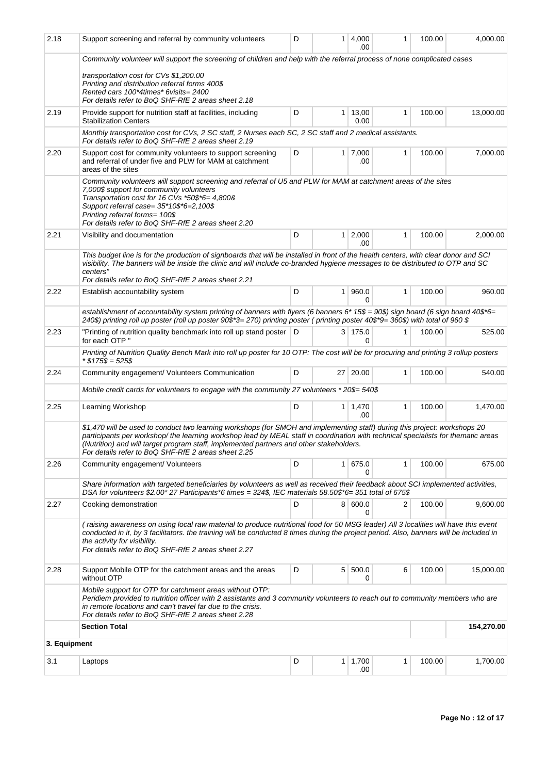| 2.18         | Support screening and referral by community volunteers                                                                                                                                                                                                                                                                                                                                                           | D                                | 1.             | 4,000<br>.00   | 1            | 100.00 | 4,000.00   |  |  |  |  |
|--------------|------------------------------------------------------------------------------------------------------------------------------------------------------------------------------------------------------------------------------------------------------------------------------------------------------------------------------------------------------------------------------------------------------------------|----------------------------------|----------------|----------------|--------------|--------|------------|--|--|--|--|
|              | Community volunteer will support the screening of children and help with the referral process of none complicated cases<br>transportation cost for CVs \$1,200.00<br>Printing and distribution referral forms 400\$<br>Rented cars 100*4times* 6visits= 2400<br>For details refer to BoQ SHF-RfE 2 areas sheet 2.18                                                                                              |                                  |                |                |              |        |            |  |  |  |  |
| 2.19         | Provide support for nutrition staff at facilities, including<br><b>Stabilization Centers</b>                                                                                                                                                                                                                                                                                                                     | D<br>$1 \mid 13,00$<br>1<br>0.00 |                |                |              |        |            |  |  |  |  |
|              | Monthly transportation cost for CVs, 2 SC staff, 2 Nurses each SC, 2 SC staff and 2 medical assistants.<br>For details refer to BoQ SHF-RfE 2 areas sheet 2.19                                                                                                                                                                                                                                                   |                                  |                |                |              |        |            |  |  |  |  |
| 2.20         | Support cost for community volunteers to support screening<br>and referral of under five and PLW for MAM at catchment<br>areas of the sites                                                                                                                                                                                                                                                                      | D                                | $\mathbf{1}$   | 7,000<br>.00   | 1            | 100.00 | 7,000.00   |  |  |  |  |
|              | Community volunteers will support screening and referral of U5 and PLW for MAM at catchment areas of the sites<br>7,000\$ support for community volunteers<br>Transportation cost for 16 CVs *50\$*6= 4,800&<br>Support referral case= 35*10\$*6=2,100\$<br>Printing referral forms= 100\$<br>For details refer to BoQ SHF-RfE 2 areas sheet 2.20                                                                |                                  |                |                |              |        |            |  |  |  |  |
| 2.21         | Visibility and documentation                                                                                                                                                                                                                                                                                                                                                                                     | D                                | $\mathbf{1}$   | 2,000<br>.00   | 1            | 100.00 | 2,000.00   |  |  |  |  |
|              | This budget line is for the production of signboards that will be installed in front of the health centers, with clear donor and SCI<br>visibility. The banners will be inside the clinic and will include co-branded hygiene messages to be distributed to OTP and SC<br>centers"<br>For details refer to BoQ SHF-RfE 2 areas sheet 2.21                                                                        |                                  |                |                |              |        |            |  |  |  |  |
| 2.22         | Establish accountability system                                                                                                                                                                                                                                                                                                                                                                                  | D                                | 1.             | 960.0<br>0     | $\mathbf{1}$ | 100.00 | 960.00     |  |  |  |  |
|              | establishment of accountability system printing of banners with flyers (6 banners 6* 15\$ = 90\$) sign board (6 sign board 40\$*6=<br>240\$) printing roll up poster (roll up poster 90\$*3= 270) printing poster (printing poster 40\$*9= 360\$) with total of 960 \$                                                                                                                                           |                                  |                |                |              |        |            |  |  |  |  |
| 2.23         | "Printing of nutrition quality benchmark into roll up stand poster   D<br>for each OTP "                                                                                                                                                                                                                                                                                                                         |                                  |                | 3 175.0<br>0   | 1            | 100.00 | 525.00     |  |  |  |  |
|              | Printing of Nutrition Quality Bench Mark into roll up poster for 10 OTP: The cost will be for procuring and printing 3 rollup posters<br>$*$ \$175\$ = 525\$                                                                                                                                                                                                                                                     |                                  |                |                |              |        |            |  |  |  |  |
| 2.24         | Community engagement/ Volunteers Communication                                                                                                                                                                                                                                                                                                                                                                   | D                                |                | 27 20.00       | 1            | 100.00 | 540.00     |  |  |  |  |
|              | Mobile credit cards for volunteers to engage with the community 27 volunteers * 20\$= 540\$                                                                                                                                                                                                                                                                                                                      |                                  |                |                |              |        |            |  |  |  |  |
| 2.25         | Learning Workshop                                                                                                                                                                                                                                                                                                                                                                                                | D                                | $\mathbf{1}$   | 1,470<br>.00   | $\mathbf{1}$ | 100.00 | 1,470.00   |  |  |  |  |
|              | \$1,470 will be used to conduct two learning workshops (for SMOH and implementing staff) during this project: workshops 20<br>participants per workshop/the learning workshop lead by MEAL staff in coordination with technical specialists for thematic areas<br>(Nutrition) and will target program staff, implemented partners and other stakeholders.<br>For details refer to BoQ SHF-RfE 2 areas sheet 2.25 |                                  |                |                |              |        |            |  |  |  |  |
| 2.26         | Community engagement/ Volunteers                                                                                                                                                                                                                                                                                                                                                                                 | D                                | 1              | 675.0<br>0     | 1            | 100.00 | 675.00     |  |  |  |  |
|              | Share information with targeted beneficiaries by volunteers as well as received their feedback about SCI implemented activities,<br>DSA for volunteers \$2.00* 27 Participants*6 times = 324\$, IEC materials 58.50\$*6= 351 total of 675\$                                                                                                                                                                      |                                  |                |                |              |        |            |  |  |  |  |
| 2.27         | Cooking demonstration                                                                                                                                                                                                                                                                                                                                                                                            | D                                |                | 8   600.0<br>0 | 2            | 100.00 | 9,600.00   |  |  |  |  |
|              | (raising awareness on using local raw material to produce nutritional food for 50 MSG leader) All 3 localities will have this event<br>conducted in it, by 3 facilitators, the training will be conducted 8 times during the project period. Also, banners will be included in<br>the activity for visibility.<br>For details refer to BoQ SHF-RfE 2 areas sheet 2.27                                            |                                  |                |                |              |        |            |  |  |  |  |
| 2.28         | Support Mobile OTP for the catchment areas and the areas<br>without OTP                                                                                                                                                                                                                                                                                                                                          | D                                | 5 <sup>1</sup> | 500.0<br>0     | 6            | 100.00 | 15,000.00  |  |  |  |  |
|              | Mobile support for OTP for catchment areas without OTP:<br>Peridiem provided to nutrition officer with 2 assistants and 3 community volunteers to reach out to community members who are<br>in remote locations and can't travel far due to the crisis.<br>For details refer to BoQ SHF-RfE 2 areas sheet 2.28                                                                                                   |                                  |                |                |              |        |            |  |  |  |  |
|              | <b>Section Total</b>                                                                                                                                                                                                                                                                                                                                                                                             |                                  |                |                |              |        | 154,270.00 |  |  |  |  |
| 3. Equipment |                                                                                                                                                                                                                                                                                                                                                                                                                  |                                  |                |                |              |        |            |  |  |  |  |
| 3.1          | Laptops                                                                                                                                                                                                                                                                                                                                                                                                          | D                                | $\mathbf{1}$   | 1,700<br>.00   | 1            | 100.00 | 1,700.00   |  |  |  |  |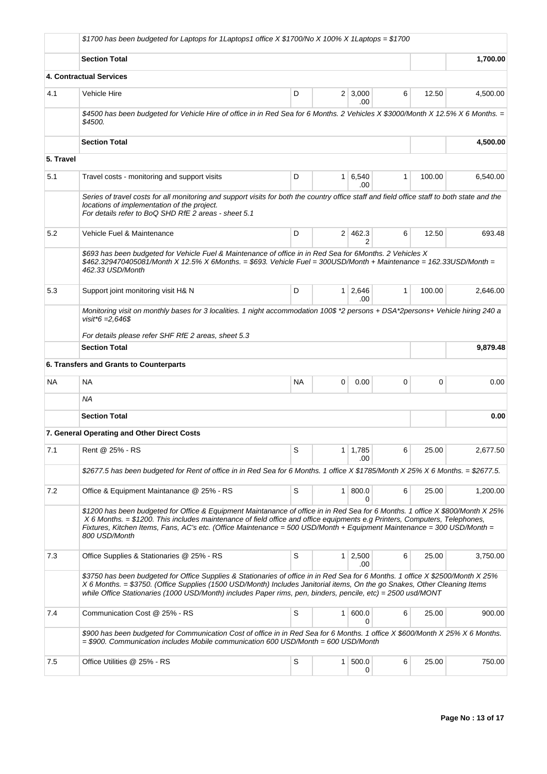|           | \$1700 has been budgeted for Laptops for 1 Laptops1 office X \$1700/No X 100% X 1 Laptops = \$1700                                                                                                                                                                                                                                                                                                          |             |                |                       |   |        |          |
|-----------|-------------------------------------------------------------------------------------------------------------------------------------------------------------------------------------------------------------------------------------------------------------------------------------------------------------------------------------------------------------------------------------------------------------|-------------|----------------|-----------------------|---|--------|----------|
|           | <b>Section Total</b>                                                                                                                                                                                                                                                                                                                                                                                        |             |                |                       |   |        | 1,700.00 |
|           | 4. Contractual Services                                                                                                                                                                                                                                                                                                                                                                                     |             |                |                       |   |        |          |
| 4.1       | Vehicle Hire                                                                                                                                                                                                                                                                                                                                                                                                | D           |                | $2 \mid 3,000$<br>.00 | 6 | 12.50  | 4,500.00 |
|           | \$4500 has been budgeted for Vehicle Hire of office in in Red Sea for 6 Months. 2 Vehicles X \$3000/Month X 12.5% X 6 Months. =<br>\$4500.                                                                                                                                                                                                                                                                  |             |                |                       |   |        |          |
|           | <b>Section Total</b>                                                                                                                                                                                                                                                                                                                                                                                        |             |                |                       |   |        | 4.500.00 |
| 5. Travel |                                                                                                                                                                                                                                                                                                                                                                                                             |             |                |                       |   |        |          |
| 5.1       | Travel costs - monitoring and support visits                                                                                                                                                                                                                                                                                                                                                                | D           | $\mathbf{1}$   | 6,540<br>.00          | 1 | 100.00 | 6,540.00 |
|           | Series of travel costs for all monitoring and support visits for both the country office staff and field office staff to both state and the<br>locations of implementation of the project.<br>For details refer to BoQ SHD RfE 2 areas - sheet 5.1                                                                                                                                                          |             |                |                       |   |        |          |
| 5.2       | Vehicle Fuel & Maintenance                                                                                                                                                                                                                                                                                                                                                                                  | D           | 2 <sup>1</sup> | 462.3<br>2            | 6 | 12.50  | 693.48   |
|           | \$693 has been budgeted for Vehicle Fuel & Maintenance of office in in Red Sea for 6Months. 2 Vehicles X<br>\$462.329470405081/Month X 12.5% X 6Months. = \$693. Vehicle Fuel = 300USD/Month + Maintenance = 162.33USD/Month =<br>462.33 USD/Month                                                                                                                                                          |             |                |                       |   |        |          |
| 5.3       | Support joint monitoring visit H& N                                                                                                                                                                                                                                                                                                                                                                         | D           | 1 <sup>1</sup> | 2,646<br>.00          | 1 | 100.00 | 2,646.00 |
|           | Monitoring visit on monthly bases for 3 localities. 1 night accommodation 100\$ *2 persons + DSA*2persons+ Vehicle hiring 240 a<br>visit*6 = $2.646$ \$                                                                                                                                                                                                                                                     |             |                |                       |   |        |          |
|           | For details please refer SHF RfE 2 areas, sheet 5.3                                                                                                                                                                                                                                                                                                                                                         |             |                |                       |   |        |          |
|           | <b>Section Total</b>                                                                                                                                                                                                                                                                                                                                                                                        |             |                |                       |   |        | 9,879.48 |
|           | 6. Transfers and Grants to Counterparts                                                                                                                                                                                                                                                                                                                                                                     |             |                |                       |   |        |          |
| <b>NA</b> | <b>NA</b>                                                                                                                                                                                                                                                                                                                                                                                                   | <b>NA</b>   | 0              | 0.00                  | 0 | 0      | 0.00     |
|           | ΝA                                                                                                                                                                                                                                                                                                                                                                                                          |             |                |                       |   |        |          |
|           | <b>Section Total</b>                                                                                                                                                                                                                                                                                                                                                                                        |             |                |                       |   |        | 0.00     |
|           | 7. General Operating and Other Direct Costs                                                                                                                                                                                                                                                                                                                                                                 |             |                |                       |   |        |          |
| 7.1       | Rent @ 25% - RS                                                                                                                                                                                                                                                                                                                                                                                             | S           |                | $1 \mid 1,785$<br>.00 | 6 | 25.00  | 2,677.50 |
|           | \$2677.5 has been budgeted for Rent of office in in Red Sea for 6 Months. 1 office X \$1785/Month X 25% X 6 Months. = \$2677.5.                                                                                                                                                                                                                                                                             |             |                |                       |   |        |          |
| 7.2       | Office & Equipment Maintanance @ 25% - RS                                                                                                                                                                                                                                                                                                                                                                   | S           | 1 <sup>1</sup> | 800.0<br>0            | 6 | 25.00  | 1,200.00 |
|           | \$1200 has been budgeted for Office & Equipment Maintanance of office in in Red Sea for 6 Months. 1 office X \$800/Month X 25%<br>$X$ 6 Months. $=$ \$1200. This includes maintenance of field office and office equipments e.g Printers, Computers, Telephones,<br>Fixtures, Kitchen Items, Fans, AC's etc. (Office Maintenance = 500 USD/Month + Equipment Maintenance = 300 USD/Month =<br>800 USD/Month |             |                |                       |   |        |          |
| 7.3       | Office Supplies & Stationaries @ 25% - RS                                                                                                                                                                                                                                                                                                                                                                   | S           |                | 1 2,500<br>.00        | 6 | 25.00  | 3,750.00 |
|           | \$3750 has been budgeted for Office Supplies & Stationaries of office in in Red Sea for 6 Months. 1 office X \$2500/Month X 25%<br>X 6 Months. = \$3750. (Office Supplies (1500 USD/Month) Includes Janitorial items, On the go Snakes, Other Cleaning Items<br>while Office Stationaries (1000 USD/Month) includes Paper rims, pen, binders, pencile, etc) = 2500 usd/MONT                                 |             |                |                       |   |        |          |
| 7.4       | Communication Cost @ 25% - RS                                                                                                                                                                                                                                                                                                                                                                               | S           | $\mathbf{1}$   | 600.0<br>0            | 6 | 25.00  | 900.00   |
|           | \$900 has been budgeted for Communication Cost of office in in Red Sea for 6 Months. 1 office X \$600/Month X 25% X 6 Months.<br>$=$ \$900. Communication includes Mobile communication 600 USD/Month $=$ 600 USD/Month                                                                                                                                                                                     |             |                |                       |   |        |          |
| 7.5       | Office Utilities @ 25% - RS                                                                                                                                                                                                                                                                                                                                                                                 | $\mathbb S$ | 1 <sup>1</sup> | 500.0<br>0            | 6 | 25.00  | 750.00   |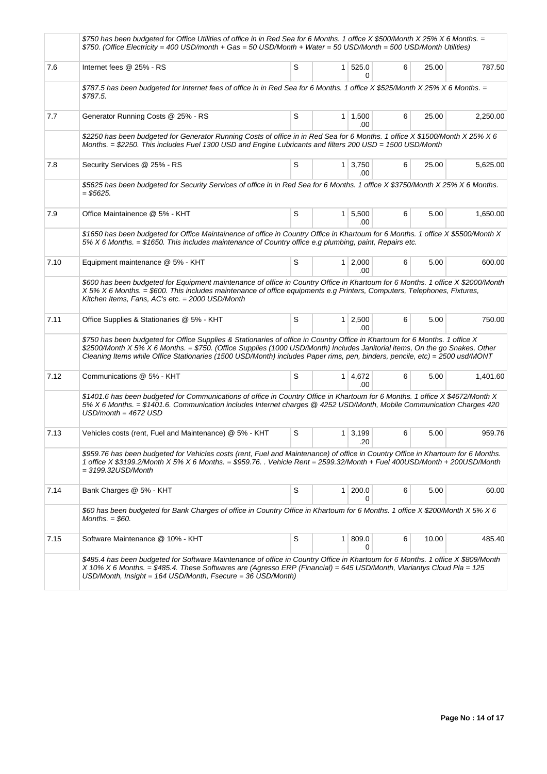|      | \$750 has been budgeted for Office Utilities of office in in Red Sea for 6 Months. 1 office X \$500/Month X 25% X 6 Months. =<br>\$750. (Office Electricity = 400 USD/month + Gas = 50 USD/Month + Water = 50 USD/Month = 500 USD/Month Utilities)                                                                                                                                       |   |                |                       |   |       |          |
|------|------------------------------------------------------------------------------------------------------------------------------------------------------------------------------------------------------------------------------------------------------------------------------------------------------------------------------------------------------------------------------------------|---|----------------|-----------------------|---|-------|----------|
| 7.6  | Internet fees @ 25% - RS                                                                                                                                                                                                                                                                                                                                                                 | S |                | 1 525.0<br>0          | 6 | 25.00 | 787.50   |
|      | \$787.5 has been budgeted for Internet fees of office in in Red Sea for 6 Months. 1 office X \$525/Month X 25% X 6 Months. =<br>\$787.5.                                                                                                                                                                                                                                                 |   |                |                       |   |       |          |
| 7.7  | Generator Running Costs @ 25% - RS                                                                                                                                                                                                                                                                                                                                                       | S |                | $1 \mid 1,500$<br>.00 | 6 | 25.00 | 2,250.00 |
|      | \$2250 has been budgeted for Generator Running Costs of office in in Red Sea for 6 Months. 1 office X \$1500/Month X 25% X 6<br>Months. = \$2250. This includes Fuel 1300 USD and Engine Lubricants and filters 200 USD = 1500 USD/Month                                                                                                                                                 |   |                |                       |   |       |          |
| 7.8  | Security Services @ 25% - RS                                                                                                                                                                                                                                                                                                                                                             | S | 1 <sup>1</sup> | 3,750<br>.00          | 6 | 25.00 | 5,625.00 |
|      | \$5625 has been budgeted for Security Services of office in in Red Sea for 6 Months. 1 office X \$3750/Month X 25% X 6 Months.<br>$=$ \$5625.                                                                                                                                                                                                                                            |   |                |                       |   |       |          |
| 7.9  | Office Maintainence @ 5% - KHT                                                                                                                                                                                                                                                                                                                                                           | S |                | $1 \mid 5,500$<br>.00 | 6 | 5.00  | 1,650.00 |
|      | \$1650 has been budgeted for Office Maintainence of office in Country Office in Khartoum for 6 Months. 1 office X \$5500/Month X<br>$5\%$ X 6 Months. = \$1650. This includes maintenance of Country office e.g plumbing, paint, Repairs etc.                                                                                                                                            |   |                |                       |   |       |          |
| 7.10 | Equipment maintenance @ 5% - KHT                                                                                                                                                                                                                                                                                                                                                         | S |                | $1 \, 2,000$<br>.00   | 6 | 5.00  | 600.00   |
|      | \$600 has been budgeted for Equipment maintenance of office in Country Office in Khartoum for 6 Months. 1 office X \$2000/Month<br>X 5% X 6 Months. = \$600. This includes maintenance of office equipments e.g Printers, Computers, Telephones, Fixtures,<br>Kitchen Items, Fans, AC's etc. = 2000 USD/Month                                                                            |   |                |                       |   |       |          |
| 7.11 | Office Supplies & Stationaries @ 5% - KHT                                                                                                                                                                                                                                                                                                                                                | S | $\mathbf{1}$   | 2,500<br>.00          | 6 | 5.00  | 750.00   |
|      | \$750 has been budgeted for Office Supplies & Stationaries of office in Country Office in Khartoum for 6 Months. 1 office X<br>\$2500/Month X 5% X 6 Months. = \$750. (Office Supplies (1000 USD/Month) Includes Janitorial items, On the go Snakes, Other<br>Cleaning Items while Office Stationaries (1500 USD/Month) includes Paper rims, pen, binders, pencile, etc) = 2500 usd/MONT |   |                |                       |   |       |          |
| 7.12 | Communications @ 5% - KHT                                                                                                                                                                                                                                                                                                                                                                | S |                | 1 4,672<br>.00        | 6 | 5.00  | 1,401.60 |
|      | \$1401.6 has been budgeted for Communications of office in Country Office in Khartoum for 6 Months. 1 office X \$4672/Month X<br>5% X 6 Months. = \$1401.6. Communication includes Internet charges @ 4252 USD/Month, Mobile Communication Charges 420<br>$USD/month = 4672$ USD                                                                                                         |   |                |                       |   |       |          |
| 7.13 | Vehicles costs (rent, Fuel and Maintenance) @ 5% - KHT                                                                                                                                                                                                                                                                                                                                   | S | 1 <sup>1</sup> | 3,199<br>.20          | 6 | 5.00  | 959.76   |
|      | \$959.76 has been budgeted for Vehicles costs (rent, Fuel and Maintenance) of office in Country Office in Khartoum for 6 Months.<br>1 office X \$3199.2/Month X 5% X 6 Months. = \$959.76. Vehicle Rent = 2599.32/Month + Fuel 400USD/Month + 200USD/Month<br>= 3199.32USD/Month                                                                                                         |   |                |                       |   |       |          |
| 7.14 | Bank Charges @ 5% - KHT                                                                                                                                                                                                                                                                                                                                                                  | S | $\mathbf{1}$   | 200.0<br>0            | 6 | 5.00  | 60.00    |
|      | \$60 has been budgeted for Bank Charges of office in Country Office in Khartoum for 6 Months. 1 office X \$200/Month X 5% X 6<br>Months. $=$ \$60.                                                                                                                                                                                                                                       |   |                |                       |   |       |          |
| 7.15 | Software Maintenance @ 10% - KHT                                                                                                                                                                                                                                                                                                                                                         | S | $\mathbf{1}$   | 809.0<br>0            | 6 | 10.00 | 485.40   |
|      | \$485.4 has been budgeted for Software Maintenance of office in Country Office in Khartoum for 6 Months. 1 office X \$809/Month<br>X 10% X 6 Months. = \$485.4. These Softwares are (Agresso ERP (Financial) = 645 USD/Month, Vlariantys Cloud Pla = 125<br>USD/Month, Insight = $164$ USD/Month, Fsecure = $36$ USD/Month)                                                              |   |                |                       |   |       |          |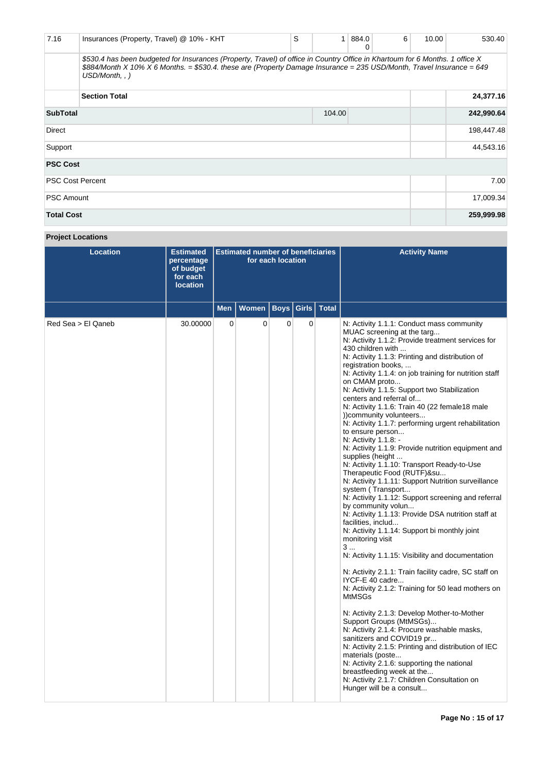| 7.16                    | Insurances (Property, Travel) @ 10% - KHT                                                                                                                                                                                                                              | S          | 1         | 884.0<br>0 | 6 | 10.00 | 530.40     |
|-------------------------|------------------------------------------------------------------------------------------------------------------------------------------------------------------------------------------------------------------------------------------------------------------------|------------|-----------|------------|---|-------|------------|
|                         | \$530.4 has been budgeted for Insurances (Property, Travel) of office in Country Office in Khartoum for 6 Months. 1 office X<br>\$884/Month X 10% X 6 Months. = \$530.4. these are (Property Damage Insurance = 235 USD/Month, Travel Insurance = 649<br>USD/Month, .) |            |           |            |   |       |            |
|                         | <b>Section Total</b>                                                                                                                                                                                                                                                   |            | 24,377.16 |            |   |       |            |
| <b>SubTotal</b>         |                                                                                                                                                                                                                                                                        |            | 104.00    |            |   |       | 242,990.64 |
| Direct                  |                                                                                                                                                                                                                                                                        | 198,447.48 |           |            |   |       |            |
| Support                 |                                                                                                                                                                                                                                                                        |            |           |            |   |       | 44,543.16  |
| <b>PSC Cost</b>         |                                                                                                                                                                                                                                                                        |            |           |            |   |       |            |
| <b>PSC Cost Percent</b> |                                                                                                                                                                                                                                                                        | 7.00       |           |            |   |       |            |
| <b>PSC Amount</b>       |                                                                                                                                                                                                                                                                        | 17,009.34  |           |            |   |       |            |
| <b>Total Cost</b>       |                                                                                                                                                                                                                                                                        |            |           |            |   |       | 259,999.98 |

# **Project Locations**

| Location           | <b>Estimated</b><br>percentage<br>of budget<br>for each<br><b>location</b> | <b>Estimated number of beneficiaries</b><br>for each location |              |             |       |              | <b>Activity Name</b>                                                                                                                                                                                                                                                                                                                                                                                                                                                                                                                                                                                                                                                                                                                                                                                                                                                                                                                                                                                                                                                                                                                                                                                                                                                                                                                                                                                                                                                                                                                                                                                                           |
|--------------------|----------------------------------------------------------------------------|---------------------------------------------------------------|--------------|-------------|-------|--------------|--------------------------------------------------------------------------------------------------------------------------------------------------------------------------------------------------------------------------------------------------------------------------------------------------------------------------------------------------------------------------------------------------------------------------------------------------------------------------------------------------------------------------------------------------------------------------------------------------------------------------------------------------------------------------------------------------------------------------------------------------------------------------------------------------------------------------------------------------------------------------------------------------------------------------------------------------------------------------------------------------------------------------------------------------------------------------------------------------------------------------------------------------------------------------------------------------------------------------------------------------------------------------------------------------------------------------------------------------------------------------------------------------------------------------------------------------------------------------------------------------------------------------------------------------------------------------------------------------------------------------------|
|                    |                                                                            | <b>Men</b>                                                    | <b>Women</b> | <b>Boys</b> | Girls | <b>Total</b> |                                                                                                                                                                                                                                                                                                                                                                                                                                                                                                                                                                                                                                                                                                                                                                                                                                                                                                                                                                                                                                                                                                                                                                                                                                                                                                                                                                                                                                                                                                                                                                                                                                |
| Red Sea > El Qaneb | 30.00000                                                                   | $\mathbf 0$                                                   | $\Omega$     | $\Omega$    | 0     |              | N: Activity 1.1.1: Conduct mass community<br>MUAC screening at the targ<br>N: Activity 1.1.2. Provide treatment services for<br>430 children with<br>N: Activity 1.1.3: Printing and distribution of<br>registration books,<br>N: Activity 1.1.4: on job training for nutrition staff<br>on CMAM proto<br>N: Activity 1.1.5: Support two Stabilization<br>centers and referral of<br>N: Activity 1.1.6: Train 40 (22 female 18 male<br>))community volunteers<br>N: Activity 1.1.7: performing urgent rehabilitation<br>to ensure person<br>N: Activity 1.1.8: -<br>N: Activity 1.1.9: Provide nutrition equipment and<br>supplies (height<br>N: Activity 1.1.10: Transport Ready-to-Use<br>Therapeutic Food (RUTF)&su<br>N: Activity 1.1.11: Support Nutrition surveillance<br>system (Transport<br>N: Activity 1.1.12: Support screening and referral<br>by community volun<br>N: Activity 1.1.13: Provide DSA nutrition staff at<br>facilities, includ<br>N: Activity 1.1.14: Support bi monthly joint<br>monitoring visit<br>3<br>N: Activity 1.1.15: Visibility and documentation<br>N: Activity 2.1.1: Train facility cadre, SC staff on<br>IYCF-E 40 cadre<br>N: Activity 2.1.2: Training for 50 lead mothers on<br><b>MtMSGs</b><br>N: Activity 2.1.3: Develop Mother-to-Mother<br>Support Groups (MtMSGs)<br>N: Activity 2.1.4: Procure washable masks,<br>sanitizers and COVID19 pr<br>N: Activity 2.1.5: Printing and distribution of IEC<br>materials (poste<br>N: Activity 2.1.6: supporting the national<br>breastfeeding week at the<br>N: Activity 2.1.7: Children Consultation on<br>Hunger will be a consult |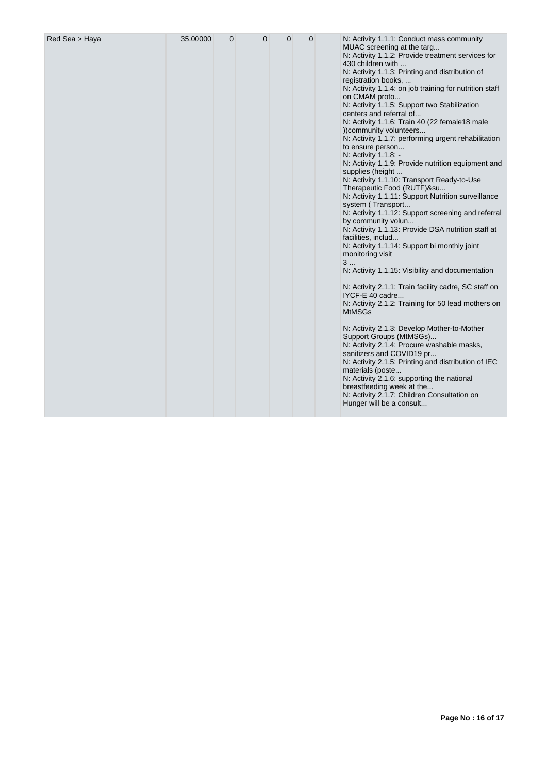|  |  |  |  |  |  | MUAC screening at the targ<br>N: Activity 1.1.2: Provide treatment services for<br>430 children with<br>N: Activity 1.1.3: Printing and distribution of<br>registration books,<br>N: Activity 1.1.4: on job training for nutrition staff<br>on CMAM proto<br>N: Activity 1.1.5: Support two Stabilization<br>centers and referral of<br>N: Activity 1.1.6: Train 40 (22 female18 male<br>))community volunteers<br>N: Activity 1.1.7: performing urgent rehabilitation<br>to ensure person<br>N: Activity 1.1.8: -<br>N: Activity 1.1.9: Provide nutrition equipment and<br>supplies (height<br>N: Activity 1.1.10: Transport Ready-to-Use<br>Therapeutic Food (RUTF)&su<br>N: Activity 1.1.11: Support Nutrition surveillance<br>system (Transport<br>N: Activity 1.1.12: Support screening and referral<br>by community volun<br>N: Activity 1.1.13: Provide DSA nutrition staff at<br>facilities, includ<br>N: Activity 1.1.14: Support bi monthly joint<br>monitoring visit<br>3<br>N: Activity 1.1.15: Visibility and documentation<br>N: Activity 2.1.1: Train facility cadre, SC staff on<br>IYCF-E 40 cadre<br>N: Activity 2.1.2: Training for 50 lead mothers on<br><b>MtMSGs</b> |
|--|--|--|--|--|--|--------------------------------------------------------------------------------------------------------------------------------------------------------------------------------------------------------------------------------------------------------------------------------------------------------------------------------------------------------------------------------------------------------------------------------------------------------------------------------------------------------------------------------------------------------------------------------------------------------------------------------------------------------------------------------------------------------------------------------------------------------------------------------------------------------------------------------------------------------------------------------------------------------------------------------------------------------------------------------------------------------------------------------------------------------------------------------------------------------------------------------------------------------------------------------------------|
|--|--|--|--|--|--|--------------------------------------------------------------------------------------------------------------------------------------------------------------------------------------------------------------------------------------------------------------------------------------------------------------------------------------------------------------------------------------------------------------------------------------------------------------------------------------------------------------------------------------------------------------------------------------------------------------------------------------------------------------------------------------------------------------------------------------------------------------------------------------------------------------------------------------------------------------------------------------------------------------------------------------------------------------------------------------------------------------------------------------------------------------------------------------------------------------------------------------------------------------------------------------------|